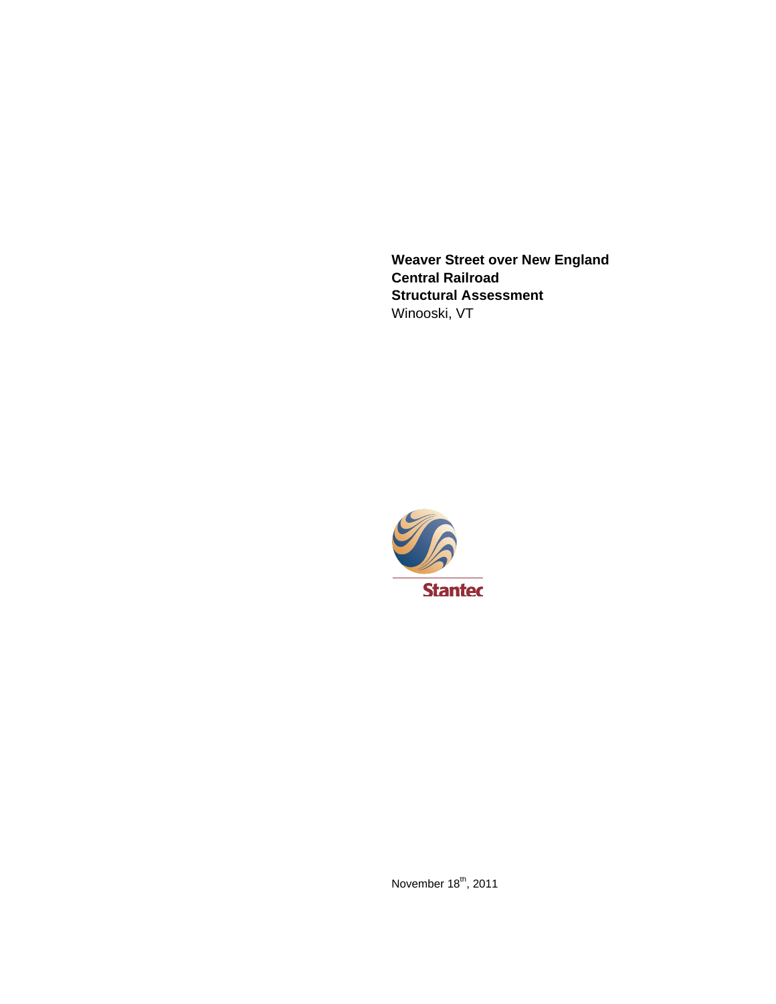**Weaver Street over New England Central Railroad Structural Assessment**  Winooski, VT



November  $18^{th}$ , 2011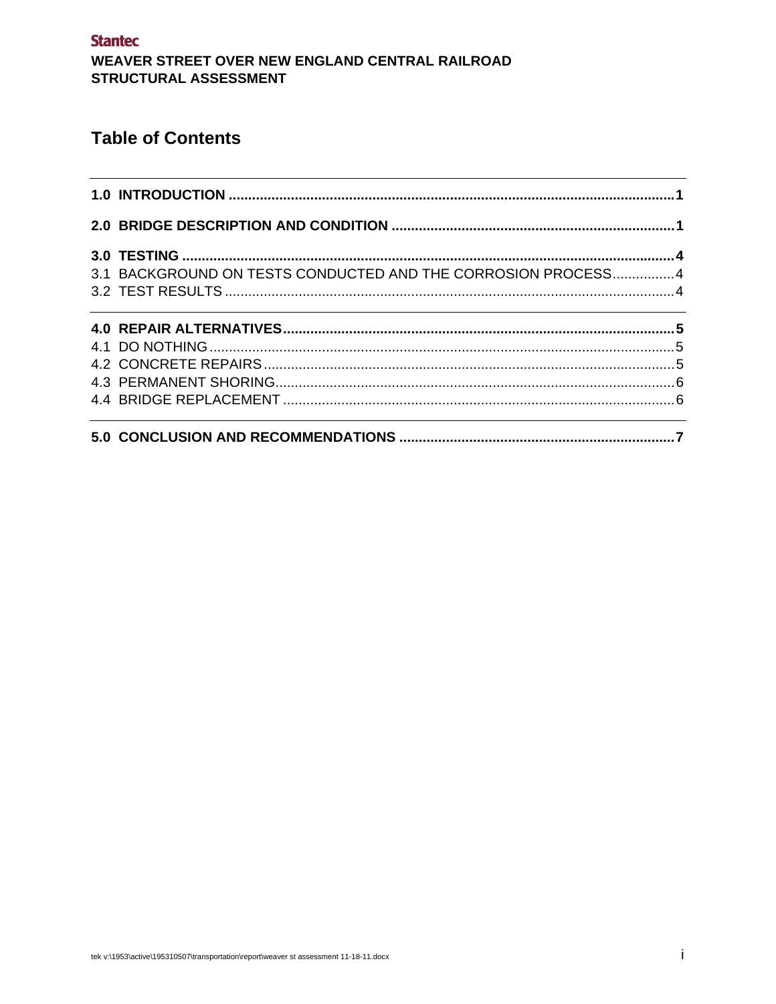**Stantec** WEAVER STREET OVER NEW ENGLAND CENTRAL RAILROAD STRUCTURAL ASSESSMENT

### **Table of Contents**

| 3.1 BACKGROUND ON TESTS CONDUCTED AND THE CORROSION PROCESS4                     |  |
|----------------------------------------------------------------------------------|--|
|                                                                                  |  |
|                                                                                  |  |
|                                                                                  |  |
|                                                                                  |  |
|                                                                                  |  |
|                                                                                  |  |
| ,我们也不会有什么。""我们的人,我们也不会有什么?""我们的人,我们也不会有什么?""我们的人,我们也不会有什么?""我们的人,我们也不会有什么?""我们的人 |  |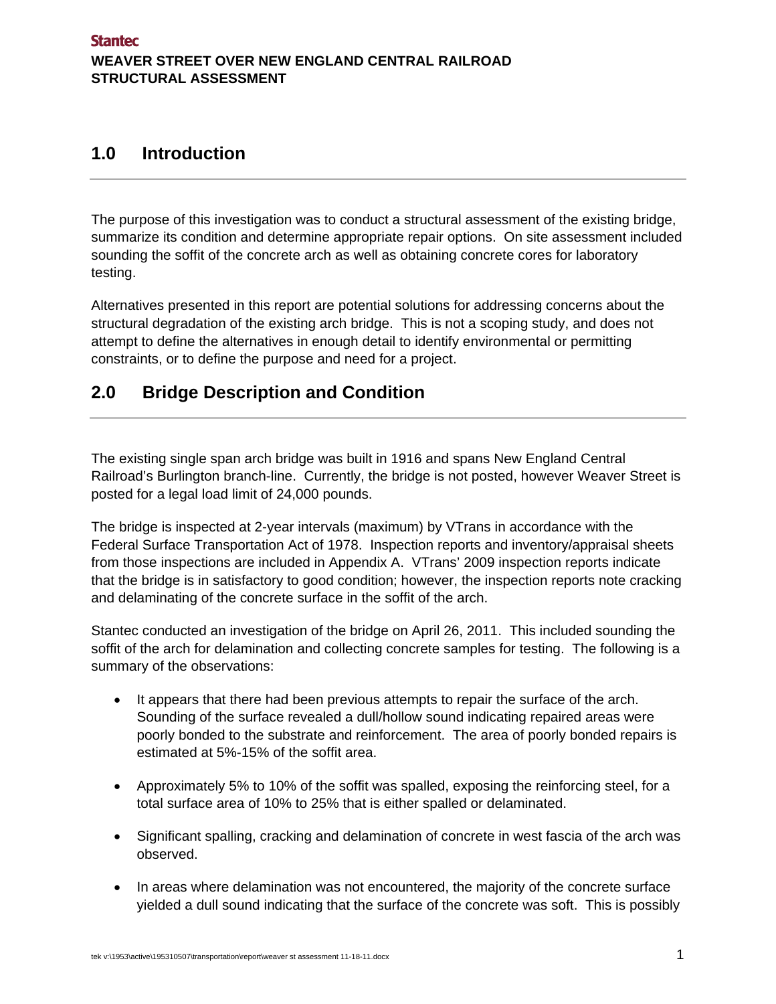### **1.0 Introduction**

The purpose of this investigation was to conduct a structural assessment of the existing bridge, summarize its condition and determine appropriate repair options. On site assessment included sounding the soffit of the concrete arch as well as obtaining concrete cores for laboratory testing.

Alternatives presented in this report are potential solutions for addressing concerns about the structural degradation of the existing arch bridge. This is not a scoping study, and does not attempt to define the alternatives in enough detail to identify environmental or permitting constraints, or to define the purpose and need for a project.

### **2.0 Bridge Description and Condition**

The existing single span arch bridge was built in 1916 and spans New England Central Railroad's Burlington branch-line. Currently, the bridge is not posted, however Weaver Street is posted for a legal load limit of 24,000 pounds.

The bridge is inspected at 2-year intervals (maximum) by VTrans in accordance with the Federal Surface Transportation Act of 1978. Inspection reports and inventory/appraisal sheets from those inspections are included in Appendix A. VTrans' 2009 inspection reports indicate that the bridge is in satisfactory to good condition; however, the inspection reports note cracking and delaminating of the concrete surface in the soffit of the arch.

Stantec conducted an investigation of the bridge on April 26, 2011. This included sounding the soffit of the arch for delamination and collecting concrete samples for testing. The following is a summary of the observations:

- It appears that there had been previous attempts to repair the surface of the arch. Sounding of the surface revealed a dull/hollow sound indicating repaired areas were poorly bonded to the substrate and reinforcement. The area of poorly bonded repairs is estimated at 5%-15% of the soffit area.
- Approximately 5% to 10% of the soffit was spalled, exposing the reinforcing steel, for a total surface area of 10% to 25% that is either spalled or delaminated.
- Significant spalling, cracking and delamination of concrete in west fascia of the arch was observed.
- In areas where delamination was not encountered, the majority of the concrete surface yielded a dull sound indicating that the surface of the concrete was soft. This is possibly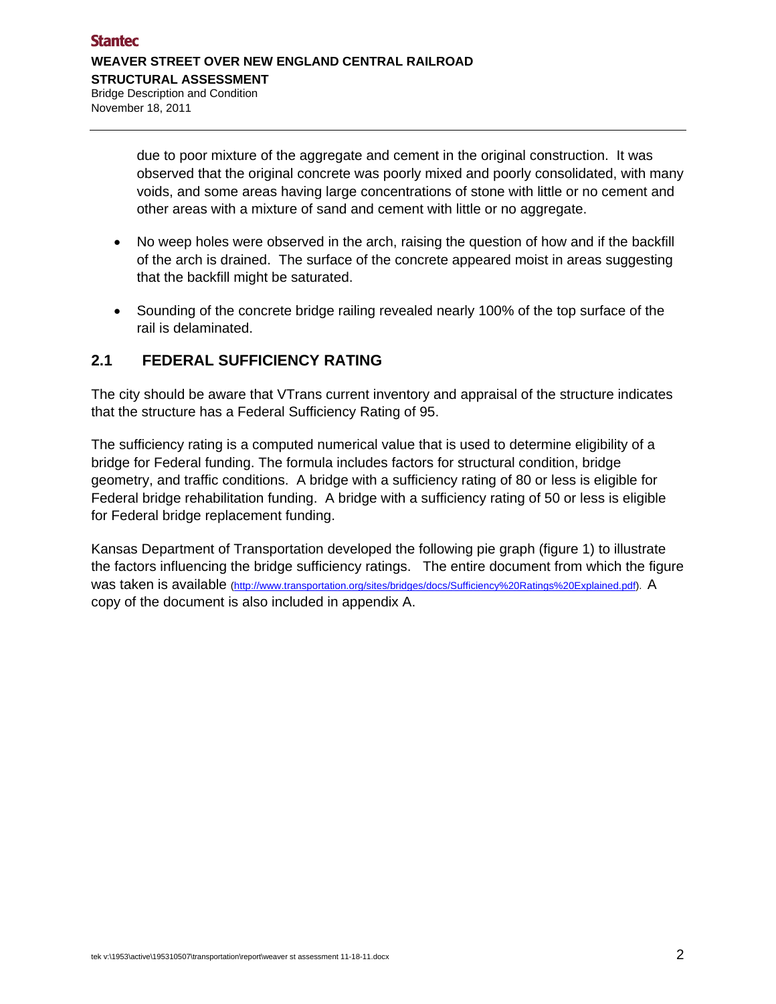due to poor mixture of the aggregate and cement in the original construction. It was observed that the original concrete was poorly mixed and poorly consolidated, with many voids, and some areas having large concentrations of stone with little or no cement and other areas with a mixture of sand and cement with little or no aggregate.

- No weep holes were observed in the arch, raising the question of how and if the backfill of the arch is drained. The surface of the concrete appeared moist in areas suggesting that the backfill might be saturated.
- Sounding of the concrete bridge railing revealed nearly 100% of the top surface of the rail is delaminated.

#### **2.1 FEDERAL SUFFICIENCY RATING**

The city should be aware that VTrans current inventory and appraisal of the structure indicates that the structure has a Federal Sufficiency Rating of 95.

The sufficiency rating is a computed numerical value that is used to determine eligibility of a bridge for Federal funding. The formula includes factors for structural condition, bridge geometry, and traffic conditions. A bridge with a sufficiency rating of 80 or less is eligible for Federal bridge rehabilitation funding. A bridge with a sufficiency rating of 50 or less is eligible for Federal bridge replacement funding.

Kansas Department of Transportation developed the following pie graph (figure 1) to illustrate the factors influencing the bridge sufficiency ratings. The entire document from which the figure was taken is available (http://www.transportation.org/sites/bridges/docs/Sufficiency%20Ratings%20Explained.pdf). A copy of the document is also included in appendix A.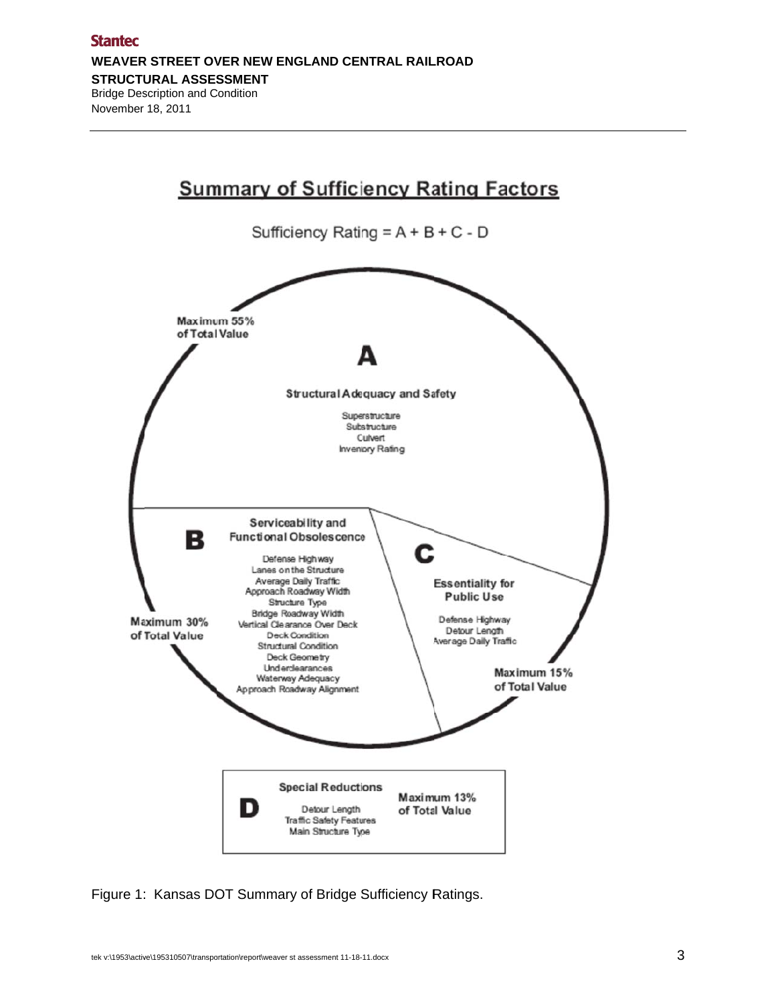

Figure 1: Kansas DOT Summary of Bridge Sufficiency Ratings.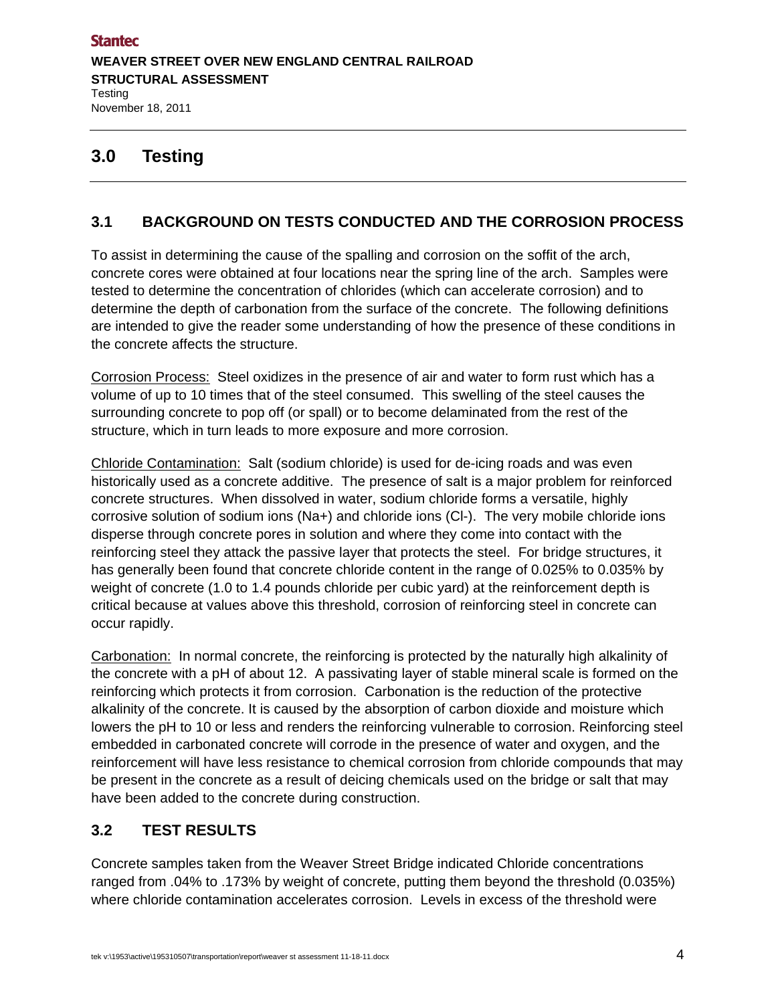### **3.0 Testing**

### **3.1 BACKGROUND ON TESTS CONDUCTED AND THE CORROSION PROCESS**

To assist in determining the cause of the spalling and corrosion on the soffit of the arch, concrete cores were obtained at four locations near the spring line of the arch. Samples were tested to determine the concentration of chlorides (which can accelerate corrosion) and to determine the depth of carbonation from the surface of the concrete. The following definitions are intended to give the reader some understanding of how the presence of these conditions in the concrete affects the structure.

Corrosion Process: Steel oxidizes in the presence of air and water to form rust which has a volume of up to 10 times that of the steel consumed. This swelling of the steel causes the surrounding concrete to pop off (or spall) or to become delaminated from the rest of the structure, which in turn leads to more exposure and more corrosion.

Chloride Contamination: Salt (sodium chloride) is used for de-icing roads and was even historically used as a concrete additive. The presence of salt is a major problem for reinforced concrete structures. When dissolved in water, sodium chloride forms a versatile, highly corrosive solution of sodium ions (Na+) and chloride ions (Cl-). The very mobile chloride ions disperse through concrete pores in solution and where they come into contact with the reinforcing steel they attack the passive layer that protects the steel. For bridge structures, it has generally been found that concrete chloride content in the range of 0.025% to 0.035% by weight of concrete (1.0 to 1.4 pounds chloride per cubic yard) at the reinforcement depth is critical because at values above this threshold, corrosion of reinforcing steel in concrete can occur rapidly.

Carbonation: In normal concrete, the reinforcing is protected by the naturally high alkalinity of the concrete with a pH of about 12. A passivating layer of stable mineral scale is formed on the reinforcing which protects it from corrosion. Carbonation is the reduction of the protective alkalinity of the concrete. It is caused by the absorption of carbon dioxide and moisture which lowers the pH to 10 or less and renders the reinforcing vulnerable to corrosion. Reinforcing steel embedded in carbonated concrete will corrode in the presence of water and oxygen, and the reinforcement will have less resistance to chemical corrosion from chloride compounds that may be present in the concrete as a result of deicing chemicals used on the bridge or salt that may have been added to the concrete during construction.

#### **3.2 TEST RESULTS**

Concrete samples taken from the Weaver Street Bridge indicated Chloride concentrations ranged from .04% to .173% by weight of concrete, putting them beyond the threshold (0.035%) where chloride contamination accelerates corrosion. Levels in excess of the threshold were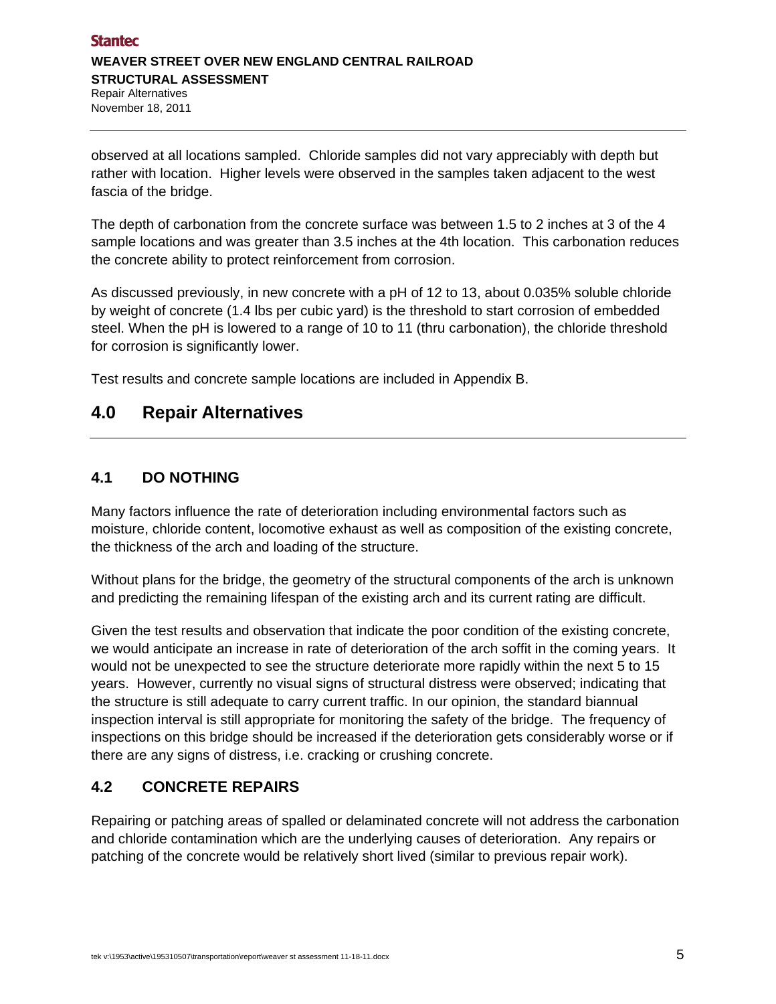observed at all locations sampled. Chloride samples did not vary appreciably with depth but rather with location. Higher levels were observed in the samples taken adjacent to the west fascia of the bridge.

The depth of carbonation from the concrete surface was between 1.5 to 2 inches at 3 of the 4 sample locations and was greater than 3.5 inches at the 4th location. This carbonation reduces the concrete ability to protect reinforcement from corrosion.

As discussed previously, in new concrete with a pH of 12 to 13, about 0.035% soluble chloride by weight of concrete (1.4 lbs per cubic yard) is the threshold to start corrosion of embedded steel. When the pH is lowered to a range of 10 to 11 (thru carbonation), the chloride threshold for corrosion is significantly lower.

Test results and concrete sample locations are included in Appendix B.

### **4.0 Repair Alternatives**

#### **4.1 DO NOTHING**

Many factors influence the rate of deterioration including environmental factors such as moisture, chloride content, locomotive exhaust as well as composition of the existing concrete, the thickness of the arch and loading of the structure.

Without plans for the bridge, the geometry of the structural components of the arch is unknown and predicting the remaining lifespan of the existing arch and its current rating are difficult.

Given the test results and observation that indicate the poor condition of the existing concrete, we would anticipate an increase in rate of deterioration of the arch soffit in the coming years. It would not be unexpected to see the structure deteriorate more rapidly within the next 5 to 15 years. However, currently no visual signs of structural distress were observed; indicating that the structure is still adequate to carry current traffic. In our opinion, the standard biannual inspection interval is still appropriate for monitoring the safety of the bridge. The frequency of inspections on this bridge should be increased if the deterioration gets considerably worse or if there are any signs of distress, i.e. cracking or crushing concrete.

### **4.2 CONCRETE REPAIRS**

Repairing or patching areas of spalled or delaminated concrete will not address the carbonation and chloride contamination which are the underlying causes of deterioration. Any repairs or patching of the concrete would be relatively short lived (similar to previous repair work).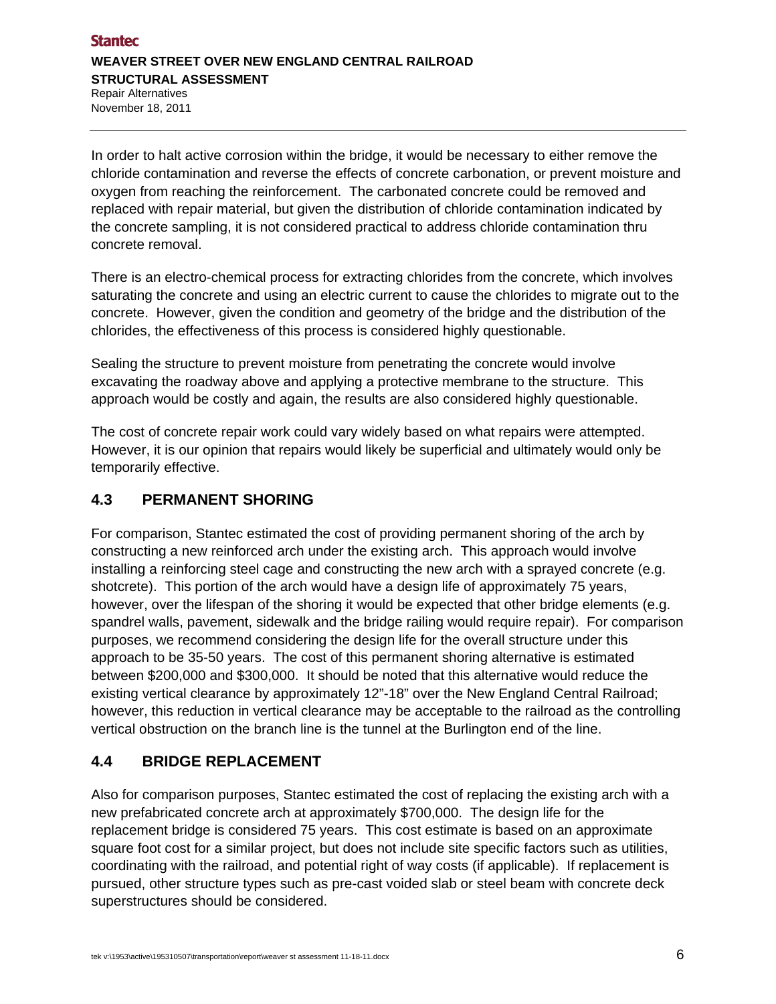In order to halt active corrosion within the bridge, it would be necessary to either remove the chloride contamination and reverse the effects of concrete carbonation, or prevent moisture and oxygen from reaching the reinforcement. The carbonated concrete could be removed and replaced with repair material, but given the distribution of chloride contamination indicated by the concrete sampling, it is not considered practical to address chloride contamination thru concrete removal.

There is an electro-chemical process for extracting chlorides from the concrete, which involves saturating the concrete and using an electric current to cause the chlorides to migrate out to the concrete. However, given the condition and geometry of the bridge and the distribution of the chlorides, the effectiveness of this process is considered highly questionable.

Sealing the structure to prevent moisture from penetrating the concrete would involve excavating the roadway above and applying a protective membrane to the structure. This approach would be costly and again, the results are also considered highly questionable.

The cost of concrete repair work could vary widely based on what repairs were attempted. However, it is our opinion that repairs would likely be superficial and ultimately would only be temporarily effective.

#### **4.3 PERMANENT SHORING**

For comparison, Stantec estimated the cost of providing permanent shoring of the arch by constructing a new reinforced arch under the existing arch. This approach would involve installing a reinforcing steel cage and constructing the new arch with a sprayed concrete (e.g. shotcrete). This portion of the arch would have a design life of approximately 75 years, however, over the lifespan of the shoring it would be expected that other bridge elements (e.g. spandrel walls, pavement, sidewalk and the bridge railing would require repair). For comparison purposes, we recommend considering the design life for the overall structure under this approach to be 35-50 years. The cost of this permanent shoring alternative is estimated between \$200,000 and \$300,000. It should be noted that this alternative would reduce the existing vertical clearance by approximately 12"-18" over the New England Central Railroad; however, this reduction in vertical clearance may be acceptable to the railroad as the controlling vertical obstruction on the branch line is the tunnel at the Burlington end of the line.

### **4.4 BRIDGE REPLACEMENT**

Also for comparison purposes, Stantec estimated the cost of replacing the existing arch with a new prefabricated concrete arch at approximately \$700,000. The design life for the replacement bridge is considered 75 years. This cost estimate is based on an approximate square foot cost for a similar project, but does not include site specific factors such as utilities, coordinating with the railroad, and potential right of way costs (if applicable). If replacement is pursued, other structure types such as pre-cast voided slab or steel beam with concrete deck superstructures should be considered.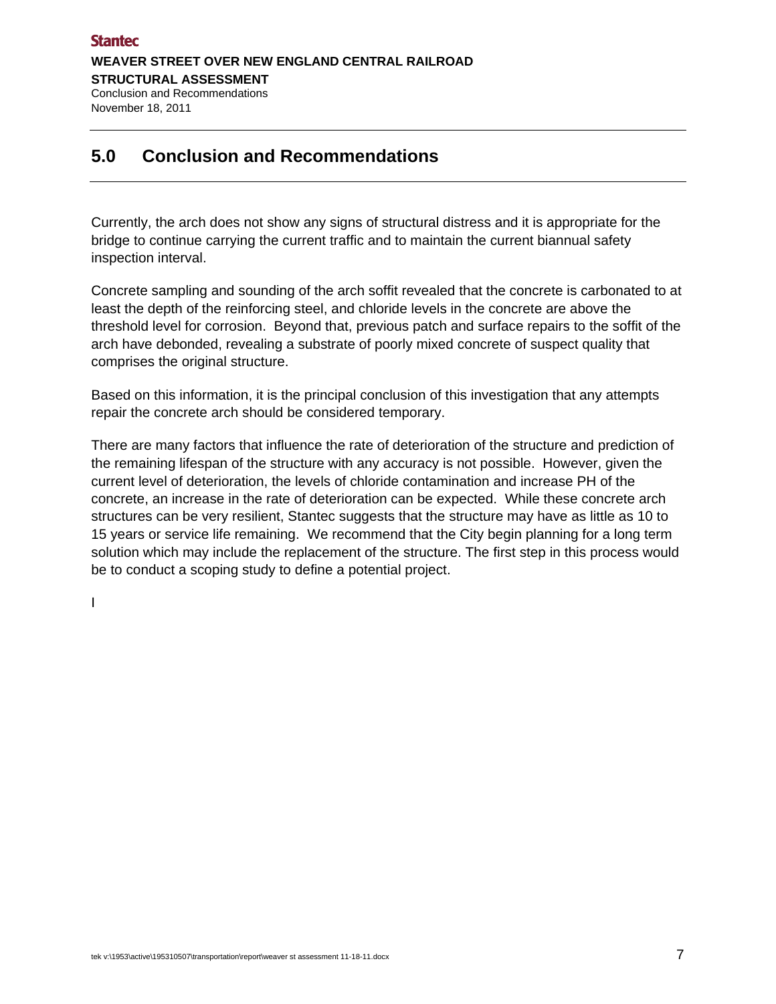### **5.0 Conclusion and Recommendations**

Currently, the arch does not show any signs of structural distress and it is appropriate for the bridge to continue carrying the current traffic and to maintain the current biannual safety inspection interval.

Concrete sampling and sounding of the arch soffit revealed that the concrete is carbonated to at least the depth of the reinforcing steel, and chloride levels in the concrete are above the threshold level for corrosion. Beyond that, previous patch and surface repairs to the soffit of the arch have debonded, revealing a substrate of poorly mixed concrete of suspect quality that comprises the original structure.

Based on this information, it is the principal conclusion of this investigation that any attempts repair the concrete arch should be considered temporary.

There are many factors that influence the rate of deterioration of the structure and prediction of the remaining lifespan of the structure with any accuracy is not possible. However, given the current level of deterioration, the levels of chloride contamination and increase PH of the concrete, an increase in the rate of deterioration can be expected. While these concrete arch structures can be very resilient, Stantec suggests that the structure may have as little as 10 to 15 years or service life remaining. We recommend that the City begin planning for a long term solution which may include the replacement of the structure. The first step in this process would be to conduct a scoping study to define a potential project.

I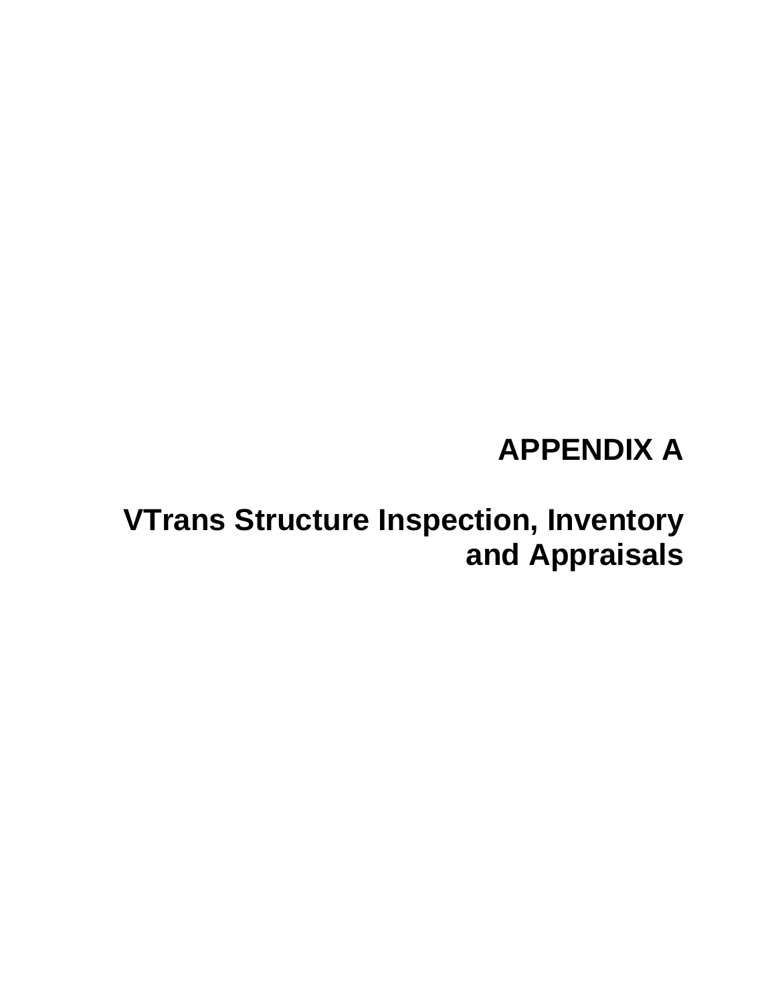# **APPENDIX A**

# **VTrans Structure Inspection, Inventory and Appraisals**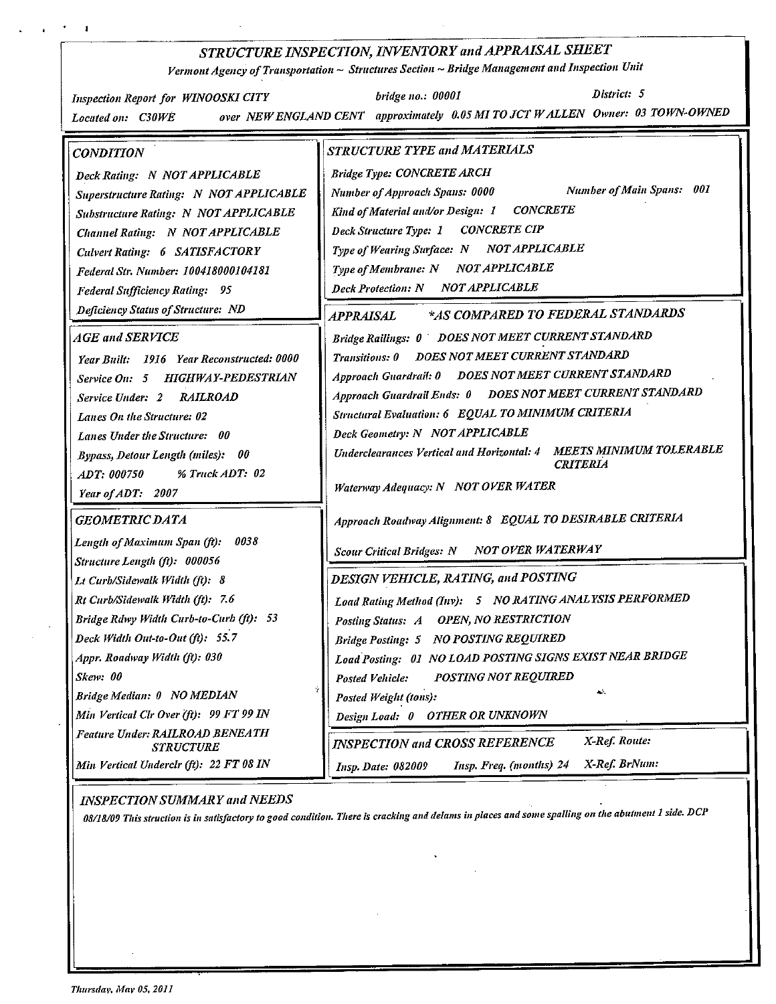#### STRUCTURE INSPECTION, INVENTORY and APPRAISAL SHEET

Vermont Agency of Transportation ~ Structures Section ~ Bridge Management and Inspection Unit

District: 5 **Inspection Report for WINOOSKI CITY** bridge no.: 00001 over NEW ENGLAND CENT approximately 0.05 MI TO JCT W ALLEN Owner: 03 TOWN-OWNED Located on: C30WE **CONDITION** STRUCTURE TYPE and MATERIALS **Bridge Type: CONCRETE ARCH** Deck Rating: N NOT APPLICABLE **Number of Main Spans: 001** Number of Approach Spans: 0000 Superstructure Rating: N NOT APPLICABLE Kind of Material and/or Design: 1 **CONCRETE** Substructure Rating: N NOT APPLICABLE **CONCRETE CIP** Deck Structure Type: 1 Channel Rating: N NOT APPLICABLE Type of Wearing Surface: N NOT APPLICABLE **Culvert Rating: 6 SATISFACTORY** Type of Membrane: N NOT APPLICABLE Federal Str. Number: 100418000104181 **Deck Protection: N NOT APPLICABLE Federal Sufficiency Rating: 95 Deficiency Status of Structure: ND** \*AS COMPARED TO FEDERAL STANDARDS **APPRAISAL** Bridge Railings: 0 DOES NOT MEET CURRENT STANDARD AGE and SERVICE Transitions: 0 DOES NOT MEET CURRENT STANDARD Year Built: 1916 Year Reconstructed: 0000 Approach Guardrail: 0 DOES NOT MEET CURRENT STANDARD Service On: 5 HIGHWAY-PEDESTRIAN Approach Guardrail Ends: 0 DOES NOT MEET CURRENT STANDARD Service Under: 2 RAILROAD Structural Evaluation: 6 EQUAL TO MINIMUM CRITERIA Lanes On the Structure: 02 Deck Geometry: N NOT APPLICABLE **Lanes Under the Structure: 00** Underclearances Vertical and Horizontal: 4 MEETS MINIMUM TOLERABLE **Bypass, Detour Length (miles): 00 CRITERIA** % Truck ADT: 02 ADT: 000750 Waterway Adequacy: N NOT OVER WATER Year of ADT: 2007 Approach Roadway Alignment: 8 EQUAL TO DESIRABLE CRITERIA **GEOMETRIC DATA** Length of Maximum Span (ft): 0038 NOT OVER WATERWAY **Scour Critical Bridges: N** Structure Length (ft): 000056 DESIGN VEHICLE, RATING, and POSTING Lt Curb/Sidewalk Width (ft): 8 Load Rating Method (Inv): 5 NO RATING ANALYSIS PERFORMED Rt Curb/Sidewalk Width (ft): 7.6 Bridge Rdwy Width Curb-to-Curb (ft): 53 Posting Status: A OPEN, NO RESTRICTION Bridge Posting: 5 NO POSTING REQUIRED Deck Width Out-to-Out (ft): 55.7 Load Posting: 01 NO LOAD POSTING SIGNS EXIST NEAR BRIDGE Appr. Roadway Width (ft): 030 POSTING NOT REQUIRED Skew: 00 **Posted Vehicle:** цý. Bridge Median: 0 NO MEDIAN Posted Weight (tons): Min Vertical Clr Over (ft): 99 FT 99 IN Design Load: 0 OTHER OR UNKNOWN Feature Under: RAILROAD BENEATH X Ref. Route: **INSPECTION and CROSS REFERENCE STRUCTURE** Min Vertical Underclr (ft): 22 FT 08 IN Insp. Date: 082009 X-Ref. BrNum: Insp. Freq. (months) 24

**INSPECTION SUMMARY and NEEDS** 

08/18/09 This struction is in satisfactory to good condition. There is cracking and delams in places and some spalling on the abutment 1 side. DCP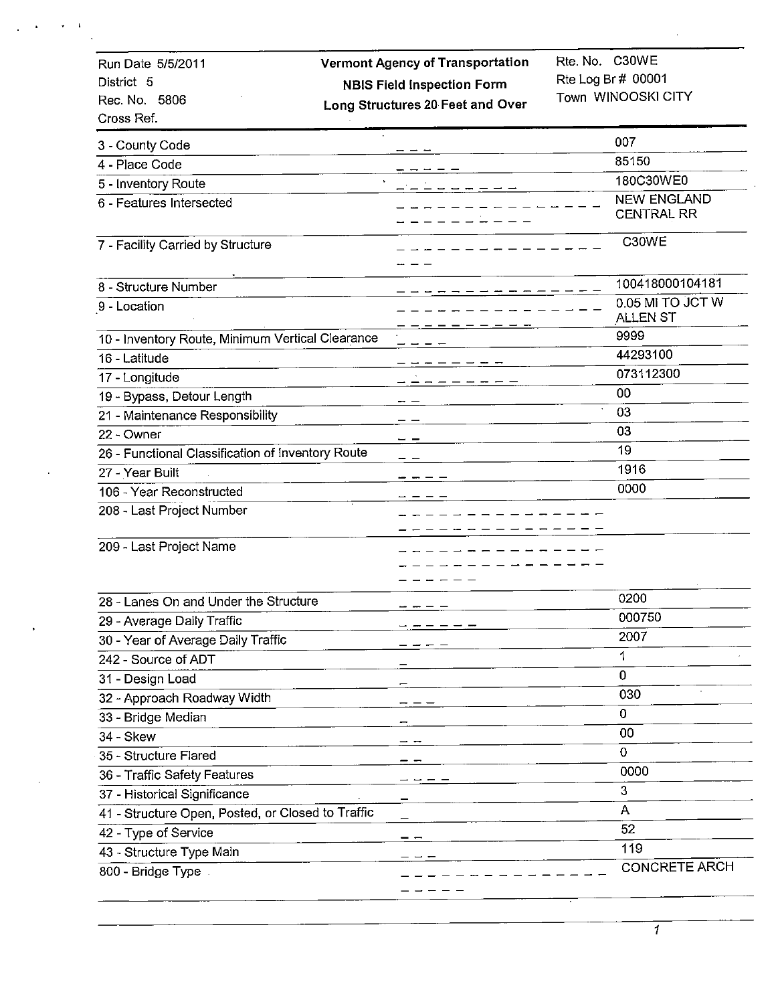| Run Date 5/5/2011                                 | <b>Vermont Agency of Transportation</b> | Rte. No. C30WE                          |
|---------------------------------------------------|-----------------------------------------|-----------------------------------------|
| District 5                                        | <b>NBIS Field Inspection Form</b>       | Rte Log Br # 00001                      |
| Rec. No. 5806                                     | Long Structures 20 Feet and Over        | Town WINOOSKI CITY                      |
| Cross Ref.                                        |                                         |                                         |
| 3 - County Code                                   |                                         | 007                                     |
| 4 - Place Code                                    |                                         | 85150                                   |
| 5 - Inventory Route                               |                                         | 180C30WE0                               |
| 6 - Features Intersected                          |                                         | <b>NEW ENGLAND</b><br><b>CENTRAL RR</b> |
| 7 - Facility Carried by Structure                 |                                         | C30WE                                   |
| 8 - Structure Number                              |                                         | 100418000104181                         |
| 9 - Location                                      |                                         | 0.05 MI TO JCT W<br>ALLEN ST            |
| 10 - Inventory Route, Minimum Vertical Clearance  |                                         | 9999                                    |
| 16 - Latitude                                     |                                         | 44293100                                |
| 17 - Longitude                                    | $   -$                                  | 073112300                               |
| 19 - Bypass, Detour Length                        |                                         | 00                                      |
| 21 - Maintenance Responsibility                   |                                         | 03                                      |
| 22 - Owner                                        |                                         | 03                                      |
| 26 - Functional Classification of Inventory Route |                                         | 19                                      |
| 27 - Year Built                                   |                                         | 1916                                    |
| 106 - Year Reconstructed                          |                                         | 0000                                    |
| 208 - Last Project Number                         |                                         |                                         |
|                                                   |                                         |                                         |
| 209 - Last Project Name                           |                                         |                                         |
|                                                   |                                         |                                         |
| 28 - Lanes On and Under the Structure             |                                         | 0200                                    |
| 29 - Average Daily Traffic                        |                                         | 000750                                  |
| 30 - Year of Average Daily Traffic                |                                         | 2007                                    |
| 242 - Source of ADT                               |                                         | 1                                       |
| 31 - Design Load                                  |                                         | 0                                       |
| 32 - Approach Roadway Width                       |                                         | 030                                     |
| 33 - Bridge Median                                |                                         | 0                                       |
| 34 - Skew                                         |                                         | 00                                      |
| 35 - Structure Flared                             |                                         | 0                                       |
| 36 - Traffic Safety Features                      |                                         | 0000                                    |
| 37 - Historical Significance                      |                                         | 3                                       |
| 41 - Structure Open, Posted, or Closed to Traffic |                                         | A                                       |
| 42 - Type of Service                              |                                         | 52                                      |
| 43 - Structure Type Main                          |                                         | 119                                     |
| 800 - Bridge Type                                 |                                         | <b>CONCRETE ARCH</b>                    |
|                                                   |                                         |                                         |

 $\pmb{\mathsf{t}}$ 

 $\overline{1}$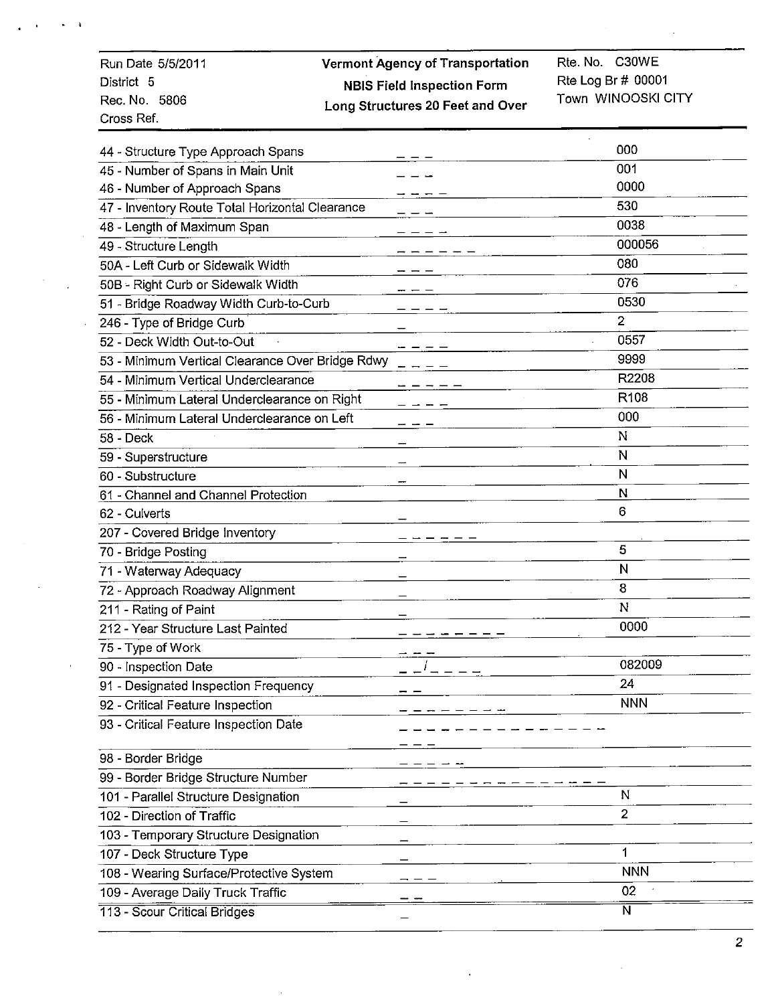| Run Date 5/5/2011 | <b>Vermont Agency of Transportation</b> | Rte. No. C30WE        |
|-------------------|-----------------------------------------|-----------------------|
| District 5        | <b>NBIS Field Inspection Form</b>       | Rte Log Br $\#$ 00001 |
| Rec. No. 5806     | Long Structures 20 Feet and Over        | Town WINOOSKI CITY    |
| Cross Ref.        |                                         |                       |

| 44 - Structure Type Approach Spans               | 000                     |
|--------------------------------------------------|-------------------------|
| 45 - Number of Spans in Main Unit                | 001                     |
| 46 - Number of Approach Spans                    | 0000                    |
| 47 - Inventory Route Total Horizontal Clearance  | 530                     |
| 48 - Length of Maximum Span                      | 0038                    |
| 49 - Structure Length                            | 000056                  |
| 50A - Left Curb or Sidewalk Width                | 080                     |
| 50B - Right Curb or Sidewalk Width               | 076                     |
| 51 - Bridge Roadway Width Curb-to-Curb           | 0530                    |
| 246 - Type of Bridge Curb                        | 2                       |
| 52 - Deck Width Out-to-Out                       | 0557                    |
| 53 - Minimum Vertical Clearance Over Bridge Rdwy | 9999                    |
| 54 - Minimum Vertical Underclearance             | R2208                   |
| 55 - Minimum Lateral Underclearance on Right     | R <sub>108</sub>        |
| 56 - Minimum Lateral Underclearance on Left      | 000                     |
| $58 - \text{Deck}$                               | $\mathbb{N}$            |
| 59 - Superstructure                              | N                       |
| 60 - Substructure                                | N                       |
| 61 - Channel and Channel Protection              | N                       |
| 62 - Culverts                                    | 6                       |
| 207 - Covered Bridge Inventory                   |                         |
| 70 - Bridge Posting                              | 5                       |
| 71 - Waterway Adequacy                           | N                       |
| 72 - Approach Roadway Alignment                  | 8                       |
| 211 - Rating of Paint                            | N                       |
| 212 - Year Structure Last Painted                | 0000                    |
| 75 - Type of Work                                |                         |
| 90 - Inspection Date                             | 082009                  |
| 91 - Designated Inspection Frequency             | 24                      |
| 92 - Critical Feature Inspection                 | <b>NNN</b>              |
| 93 - Critical Feature Inspection Date            |                         |
| 98 - Border Bridge                               |                         |
| 99 - Border Bridge Structure Number              |                         |
| 101 - Parallel Structure Designation             | N                       |
| 102 - Direction of Traffic                       | $\overline{2}$          |
| 103 - Temporary Structure Designation            |                         |
| 107 - Deck Structure Type                        | 1                       |
| 108 - Wearing Surface/Protective System          | <b>NNN</b>              |
| 109 - Average Daily Truck Traffic                | 02                      |
| 113 - Scour Critical Bridges                     | $\overline{\mathsf{N}}$ |
|                                                  |                         |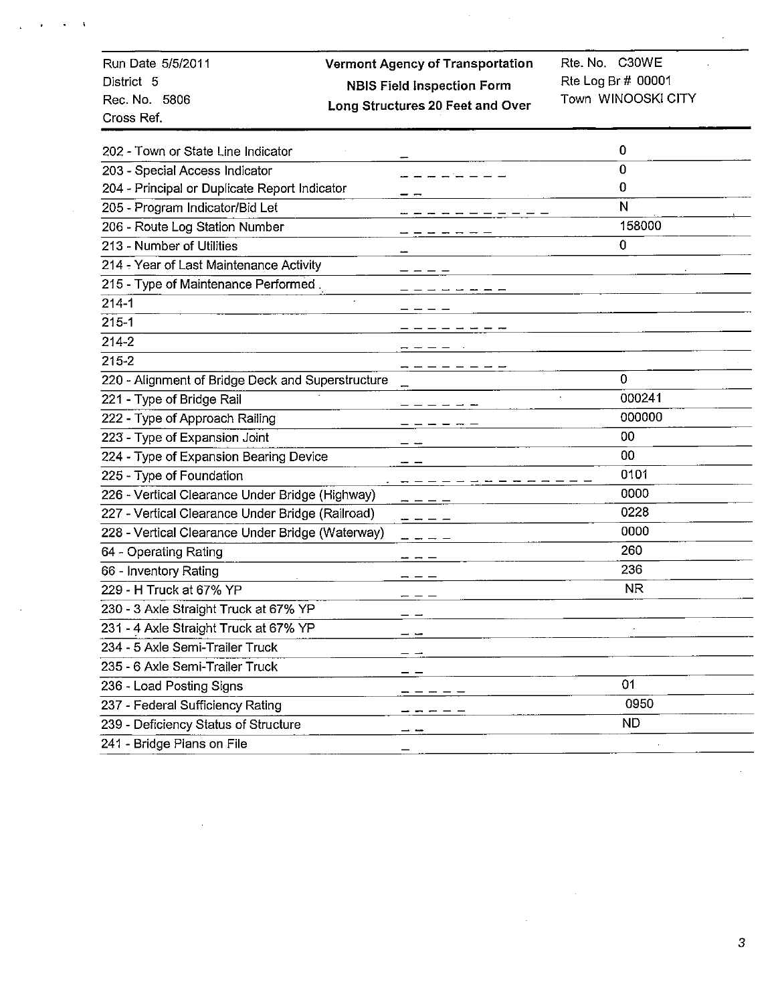| Run Date 5/5/2011<br>District 5<br>Rec. No. 5806<br>Cross Ref. | <b>Vermont Agency of Transportation</b><br><b>NBIS Field Inspection Form</b><br>Long Structures 20 Feet and Over | Rte. No. C30WE<br>Rte Log Br # 00001<br>Town WINOOSKI CITY |
|----------------------------------------------------------------|------------------------------------------------------------------------------------------------------------------|------------------------------------------------------------|
| 202 - Town or State Line Indicator                             |                                                                                                                  | 0                                                          |
| 203 - Special Access Indicator                                 |                                                                                                                  | 0                                                          |
| 204 - Principal or Duplicate Report Indicator                  |                                                                                                                  | 0                                                          |
| 205 - Program Indicator/Bid Let                                |                                                                                                                  | N                                                          |
| 206 - Route Log Station Number                                 |                                                                                                                  | 158000                                                     |
| 213 - Number of Utilities                                      |                                                                                                                  | $\Omega$                                                   |
| 214 - Year of Last Maintenance Activity                        |                                                                                                                  |                                                            |
| 215 - Type of Maintenance Performed.                           |                                                                                                                  |                                                            |
| $214 - 1$                                                      |                                                                                                                  |                                                            |
| $215 - 1$                                                      |                                                                                                                  |                                                            |
| 214-2                                                          |                                                                                                                  |                                                            |
| $215 - 2$                                                      |                                                                                                                  |                                                            |
| 220 - Alignment of Bridge Deck and Superstructure              |                                                                                                                  | $\mathbf{0}$                                               |
| 221 - Type of Bridge Rail                                      |                                                                                                                  | 000241                                                     |
| 222 - Type of Approach Railing                                 |                                                                                                                  | 000000                                                     |
| 223 - Type of Expansion Joint                                  |                                                                                                                  | 00                                                         |
| 224 - Type of Expansion Bearing Device                         |                                                                                                                  | 00                                                         |
| 225 - Type of Foundation                                       |                                                                                                                  | 0101                                                       |
| 226 - Vertical Clearance Under Bridge (Highway)                |                                                                                                                  | 0000                                                       |
| 227 - Vertical Clearance Under Bridge (Railroad)               |                                                                                                                  | 0228                                                       |
| 228 - Vertical Clearance Under Bridge (Waterway)               |                                                                                                                  | 0000                                                       |
| 64 - Operating Rating                                          |                                                                                                                  | 260                                                        |
| 66 - Inventory Rating                                          |                                                                                                                  | 236                                                        |
| 229 - H Truck at 67% YP                                        |                                                                                                                  | <b>NR</b>                                                  |
| 230 - 3 Axle Straight Truck at 67% YP                          |                                                                                                                  |                                                            |
| 231 - 4 Axle Straight Truck at 67% YP                          |                                                                                                                  |                                                            |
| 234 - 5 Axle Semi-Trailer Truck                                |                                                                                                                  |                                                            |
| 235 - 6 Axle Semi-Trailer Truck                                |                                                                                                                  |                                                            |
| 236 - Load Posting Signs                                       |                                                                                                                  | 01                                                         |
| 237 - Federal Sufficiency Rating                               |                                                                                                                  | 0950                                                       |
| 239 - Deficiency Status of Structure                           |                                                                                                                  | <b>ND</b>                                                  |
| 241 - Bridge Plans on File                                     |                                                                                                                  |                                                            |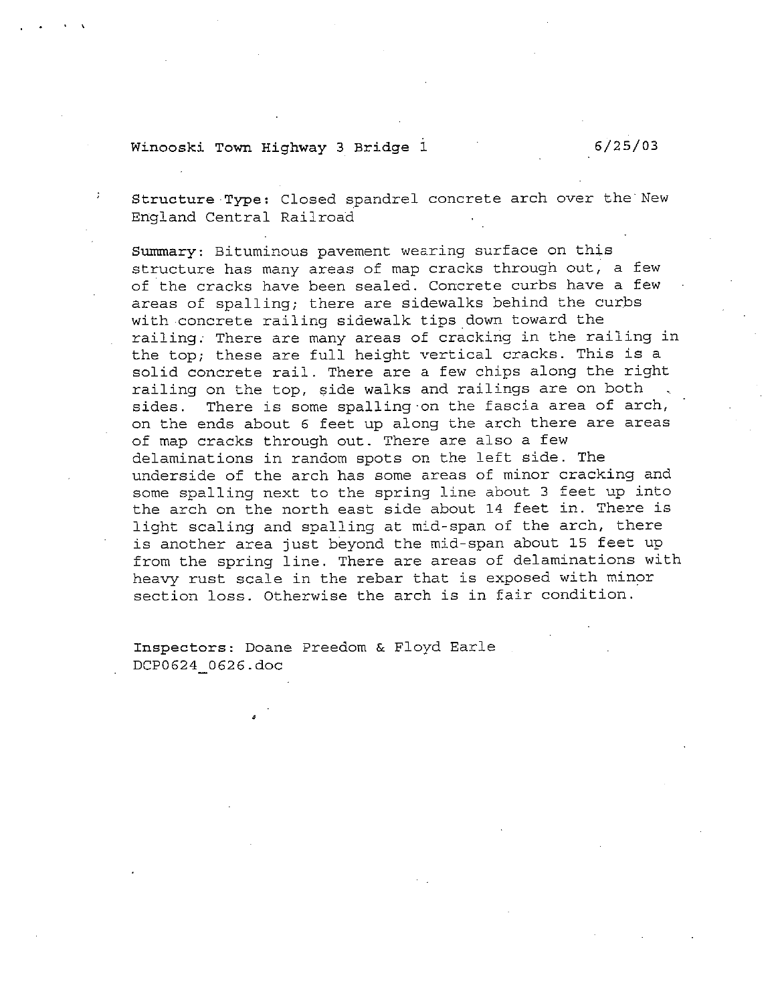#### Winooski Town Highway 3 Bridge 1

 $6/25/03$ 

Structure Type: Closed spandrel concrete arch over the New England Central Railroad

Summary: Bituminous pavement wearing surface on this structure has many areas of map cracks through out, a few of the cracks have been sealed. Concrete curbs have a few areas of spalling; there are sidewalks behind the curbs with concrete railing sidewalk tips down toward the railing. There are many areas of cracking in the railing in the top; these are full height vertical cracks. This is a solid concrete rail. There are a few chips along the right railing on the top, side walks and railings are on both There is some spalling on the fascia area of arch, sides. on the ends about 6 feet up along the arch there are areas of map cracks through out. There are also a few delaminations in random spots on the left side. The underside of the arch has some areas of minor cracking and some spalling next to the spring line about 3 feet up into the arch on the north east side about 14 feet in. There is light scaling and spalling at mid-span of the arch, there is another area just beyond the mid-span about 15 feet up from the spring line. There are areas of delaminations with heavy rust scale in the rebar that is exposed with minor section loss. Otherwise the arch is in fair condition.

Inspectors: Doane Preedom & Floyd Earle DCP0624 0626.doc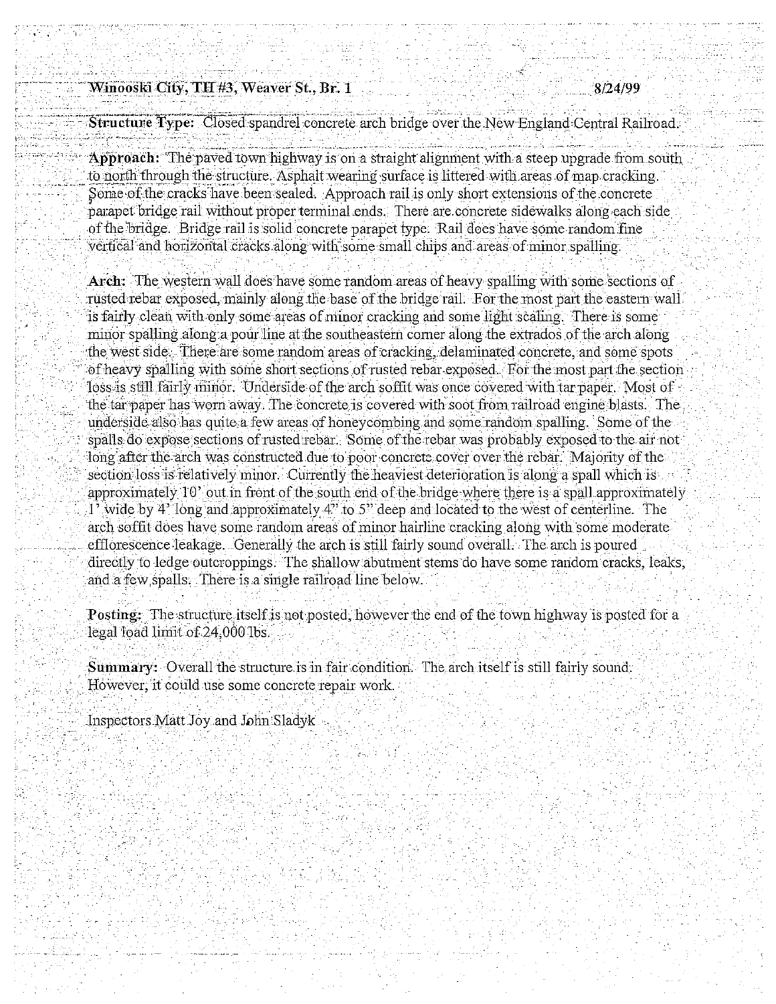#### Winooski City, TH #3, Weaver St., Br. 1

Structure Type: Closed spandrel concrete arch bridge over the New England Central Railroad.

Approach: "The paved town highway is on a straight alignment with a steep upgrade from south to north through the structure. Asphalt wearing surface is littered with areas of map cracking. Some of the cracks have been sealed. Approach rail is only short extensions of the concrete parapet bridge rail without proper terminal ends. There are concrete sidewalks along each side of the bridge. Bridge rail is solid concrete parapet type. Rail does have some random fine vertical and horizontal cracks along with some small chips and areas of minor spalling.

Arch: The western wall does have some random areas of heavy spalling with some sections of rusted rebar exposed, mainly along the base of the bridge rail. For the most part the eastern wall is fairly clean with only some areas of minor cracking and some light scaling. There is some minor spalling along a pour line at the southeastern corner along the extrados of the arch along the west side. There are some random areas of cracking, delaminated concrete, and some spots of heavy spalling with some short sections of rusted rebar exposed. For the most part the section loss is still fairly minor. Underside of the arch soffit was once covered with tar paper. Most of the tar paper has worn away. The concrete is covered with soot from railroad engine blasts. The underside also has quite a few areas of honeycombing and some random spalling. Some of the spalls do expose sections of rusted rebar. Some of the rebar was probably exposed to the air not long after the arch was constructed due to poor concrete cover over the rebar. Majority of the section loss is relatively minor. Currently the heaviest deterioration is along a spall which is approximately 10' out in front of the south end of the bridge where there is a spall approximately 1' wide by 4' long and approximately 4" to 5" deep and located to the west of centerline. The arch soffit does have some random areas of minor hairline cracking along with some moderate efflorescence leakage. Generally the arch is still fairly sound overall. The arch is poured directly to ledge outcroppings. The shallow abutment stems do have some random cracks, leaks, and a few spalls. There is a single railroad line below.

**Posting:** The structure itself is not posted, however the end of the town highway is posted for a legal load limit of 24,000 lbs.

**Summary:** Overall the structure is in fair condition. The arch itself is still fairly sound. However, it could use some concrete repair work.

Inspectors Matt Joy and John Sladyk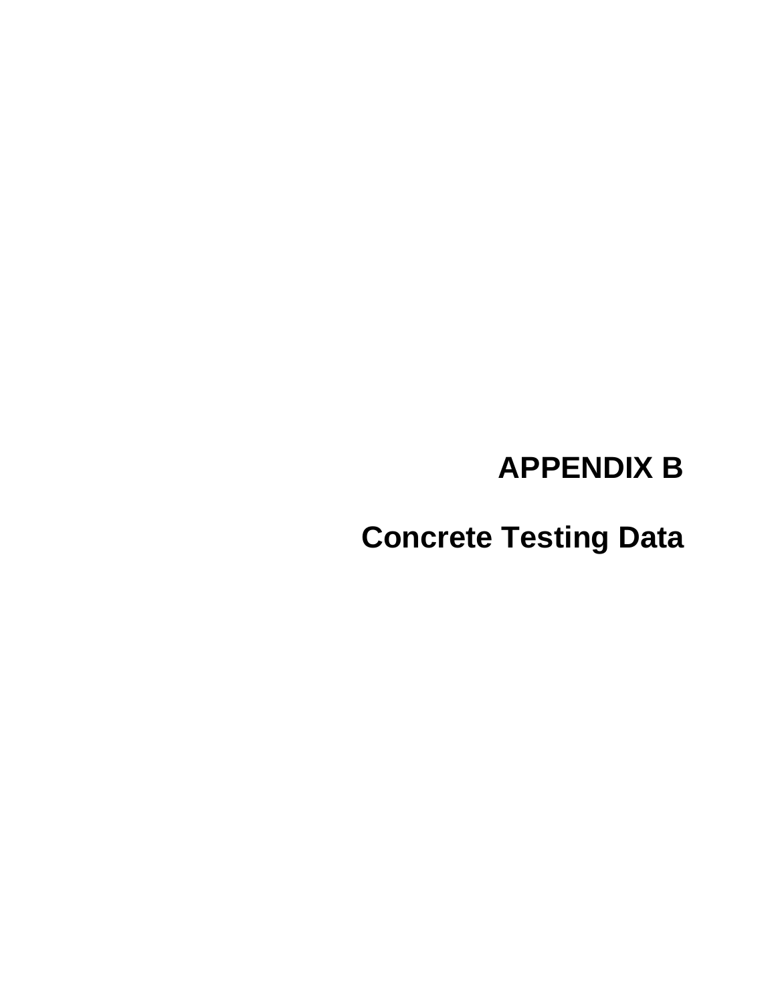# **APPENDIX B**

**Concrete Testing Data**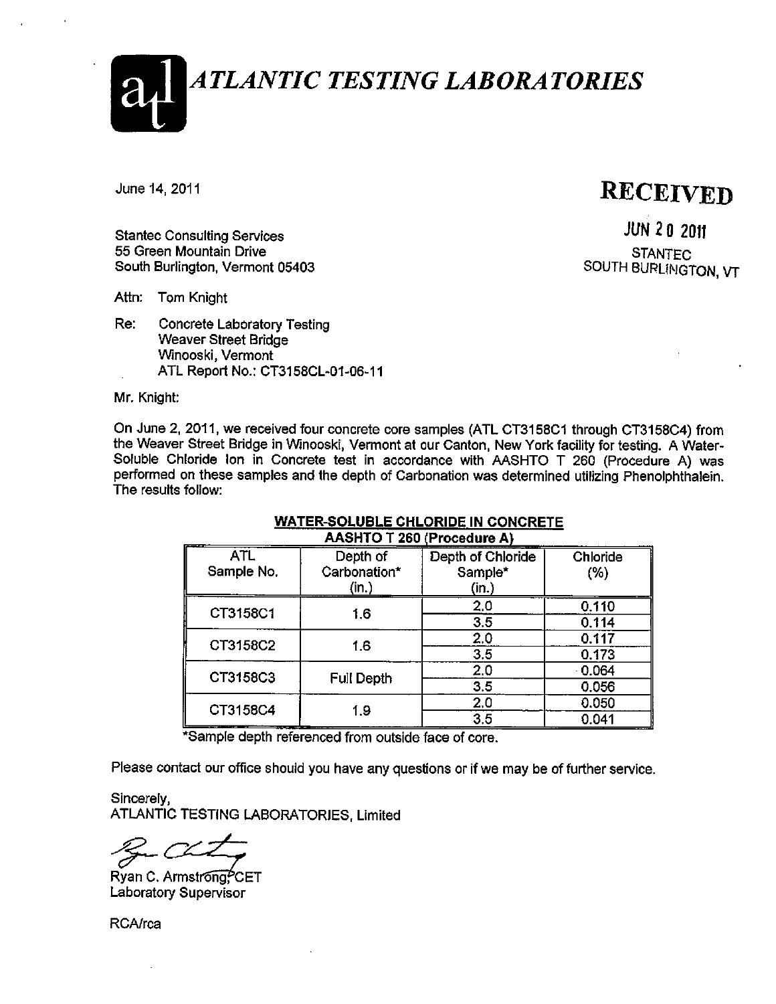**ATLANTIC TESTING LABORATORIES** 

June 14, 2011

### **RECEIVED**

**Stantec Consulting Services** 55 Green Mountain Drive South Burlington, Vermont 05403

**JUN 20 2011 STANTEC** SOUTH BURLINGTON, VT

Attn: Tom Knight

Re: **Concrete Laboratory Testing Weaver Street Bridge** Winooski, Vermont ATL Report No.: CT3158CL-01-06-11

Mr. Knight:

On June 2, 2011, we received four concrete core samples (ATL CT3158C1 through CT3158C4) from the Weaver Street Bridge in Winooski, Vermont at our Canton, New York facility for testing. A Water-Soluble Chloride Ion in Concrete test in accordance with AASHTO T 260 (Procedure A) was performed on these samples and the depth of Carbonation was determined utilizing Phenolphthalein. The results follow:

| <b>AASHIU I ZOU (Procedure A)</b> |                                   |                                       |                  |  |  |  |  |  |  |  |
|-----------------------------------|-----------------------------------|---------------------------------------|------------------|--|--|--|--|--|--|--|
| <b>ATL</b><br>Sample No.          | Depth of<br>Carbonation*<br>(in ) | Depth of Chloride<br>Sample*<br>(in.) | Chloride<br>(% ) |  |  |  |  |  |  |  |
| CT3158C1                          | 1.6                               | 2,0<br>3.5                            | 0.110<br>0.114   |  |  |  |  |  |  |  |
| CT3158C2                          | 1.6                               | 2,0                                   | 0.117            |  |  |  |  |  |  |  |
|                                   |                                   | 3.5<br>2.0                            | 0.173<br>0.064   |  |  |  |  |  |  |  |
| CT3158C3                          | <b>Full Depth</b>                 | 3.5                                   | 0.056            |  |  |  |  |  |  |  |
| CT3158C4                          | 1.9                               | 2,0<br>3.5                            | 0.050<br>0.041   |  |  |  |  |  |  |  |

#### **WATER-SOLUBLE CHLORIDE IN CONCRETE** A AOUTO T DCD (Depending A)

\*Sample depth referenced from outside face of core.

Please contact our office should you have any questions or if we may be of further service.

Sincerely, ATLANTIC TESTING LABORATORIES, Limited

Ryan C. Armstrong?CET **Laboratory Supervisor** 

RCA/rca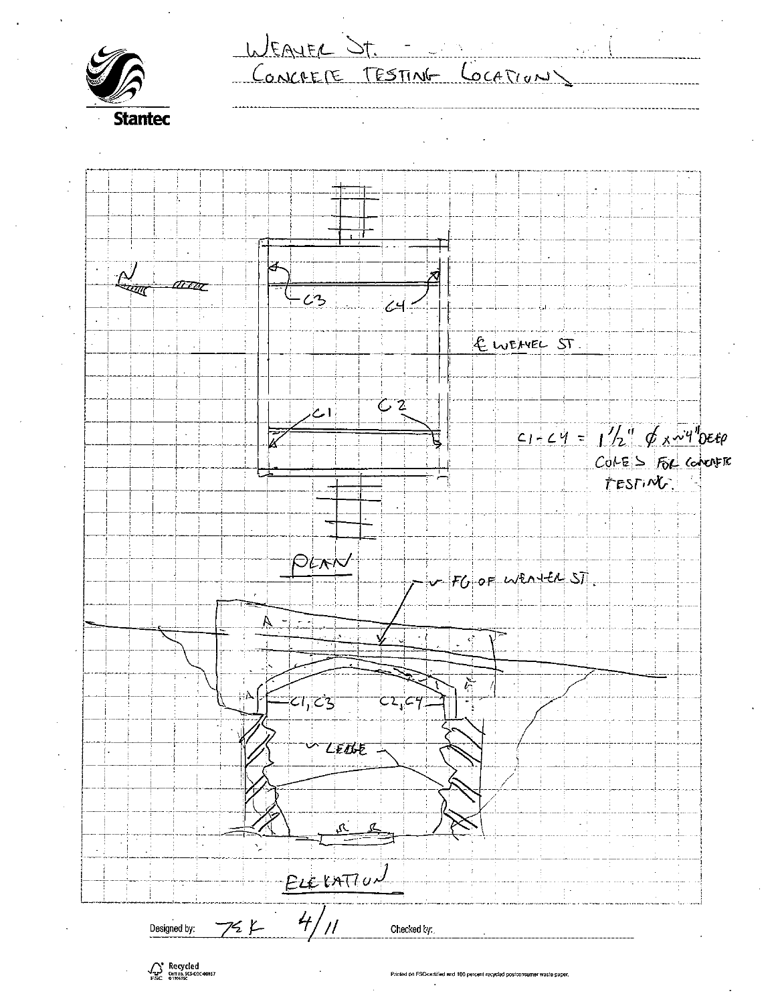WEAVER ST. CONCRETE TESTING LOCATION **Stantec** í.  $\frac{\Delta}{\Delta}$ Ĵ TETAT  $\overline{\mathcal{L}}$  $\mathcal{L}$ 3 EWEAVEL ST.  $C2$ أامط  $C1-C4 = 1/2$   $Q x y y b \epsilon_0$ पू COLES FOR COMMER TESTING. PLAN  $FOOFW22+UST$  $\overline{z}$  $\cdot t$ रहे  $CI_1C3$  $C2C4$ LEDGE نحي  $\mathcal{L}$ ELEVATION  $\frac{1}{2}$  .  $4/1$  $725$ Designed by: Checked by:

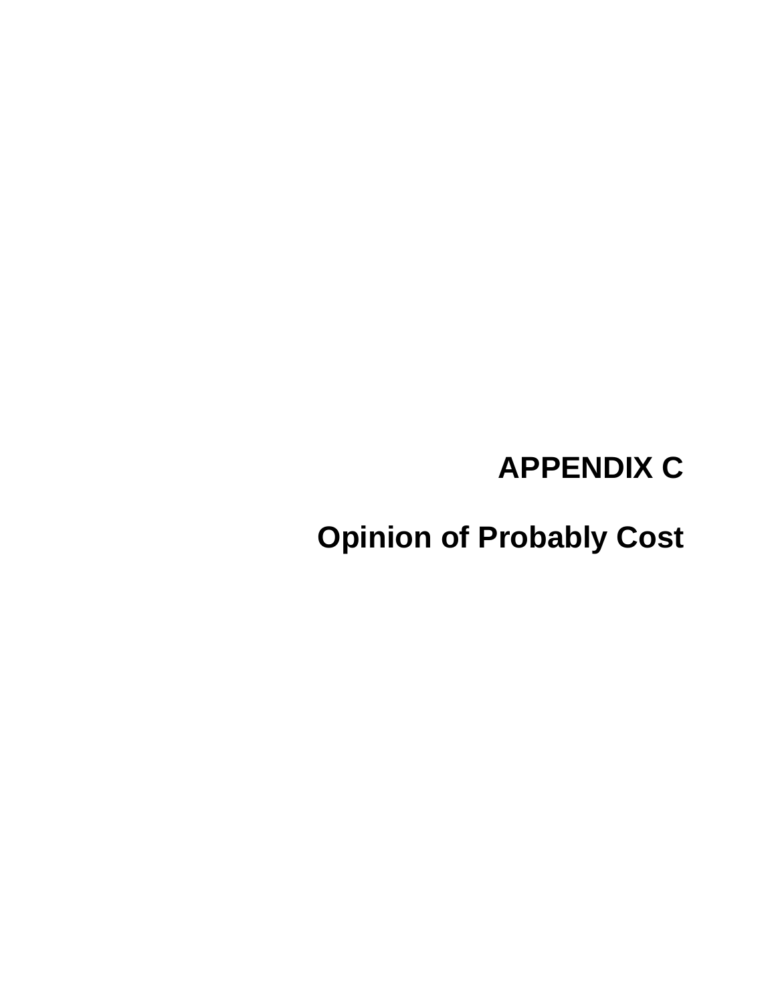# **APPENDIX C**

**Opinion of Probably Cost**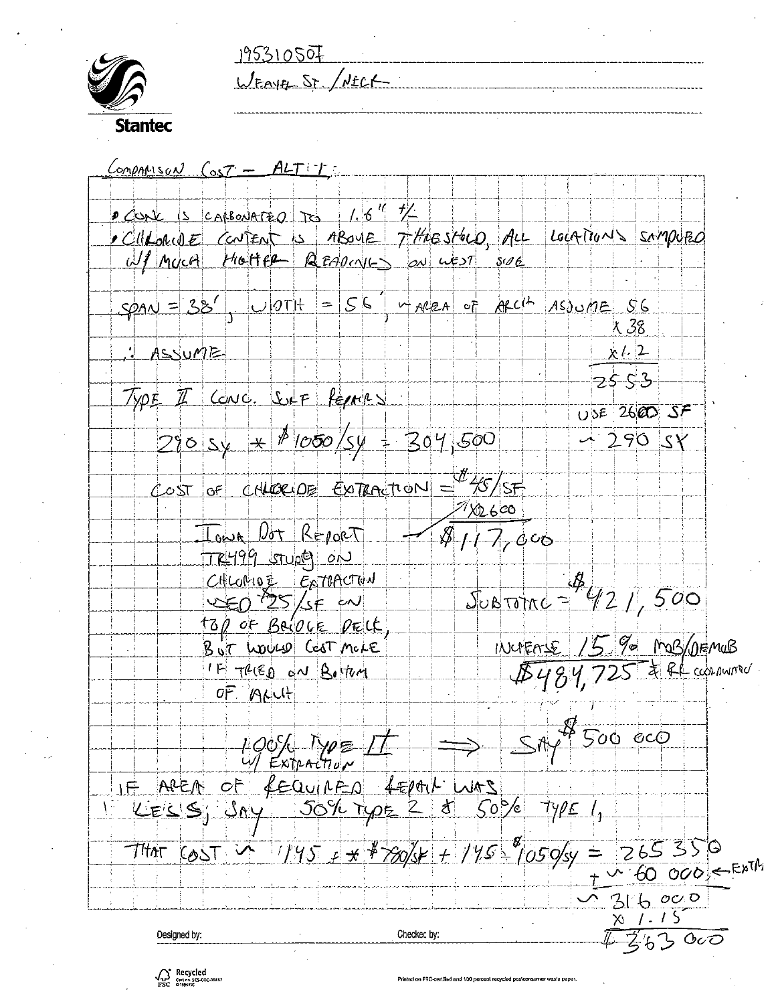195310507<br>WEAVEL ST / NECK



|                                              | X 38.                                                                                                                                                                                                                                                                                                                                                                                                                                                                                                                                                                   |
|----------------------------------------------|-------------------------------------------------------------------------------------------------------------------------------------------------------------------------------------------------------------------------------------------------------------------------------------------------------------------------------------------------------------------------------------------------------------------------------------------------------------------------------------------------------------------------------------------------------------------------|
|                                              | x 12                                                                                                                                                                                                                                                                                                                                                                                                                                                                                                                                                                    |
|                                              | $-25.53$                                                                                                                                                                                                                                                                                                                                                                                                                                                                                                                                                                |
|                                              | $USE$ 2600 SF                                                                                                                                                                                                                                                                                                                                                                                                                                                                                                                                                           |
|                                              | $-290SY$                                                                                                                                                                                                                                                                                                                                                                                                                                                                                                                                                                |
|                                              |                                                                                                                                                                                                                                                                                                                                                                                                                                                                                                                                                                         |
|                                              |                                                                                                                                                                                                                                                                                                                                                                                                                                                                                                                                                                         |
|                                              |                                                                                                                                                                                                                                                                                                                                                                                                                                                                                                                                                                         |
|                                              |                                                                                                                                                                                                                                                                                                                                                                                                                                                                                                                                                                         |
|                                              |                                                                                                                                                                                                                                                                                                                                                                                                                                                                                                                                                                         |
|                                              |                                                                                                                                                                                                                                                                                                                                                                                                                                                                                                                                                                         |
|                                              | $Sobrone = 421,500$                                                                                                                                                                                                                                                                                                                                                                                                                                                                                                                                                     |
|                                              |                                                                                                                                                                                                                                                                                                                                                                                                                                                                                                                                                                         |
|                                              | INCREASE 15 % MOB/DEMOB                                                                                                                                                                                                                                                                                                                                                                                                                                                                                                                                                 |
|                                              | \$484,725 \$ RL ccornwrow                                                                                                                                                                                                                                                                                                                                                                                                                                                                                                                                               |
|                                              |                                                                                                                                                                                                                                                                                                                                                                                                                                                                                                                                                                         |
|                                              | a k<br>CCO<br>500                                                                                                                                                                                                                                                                                                                                                                                                                                                                                                                                                       |
|                                              |                                                                                                                                                                                                                                                                                                                                                                                                                                                                                                                                                                         |
|                                              |                                                                                                                                                                                                                                                                                                                                                                                                                                                                                                                                                                         |
| 50%<br>$50\%$<br>$\mathcal{F}_{\mathcal{A}}$ |                                                                                                                                                                                                                                                                                                                                                                                                                                                                                                                                                                         |
|                                              |                                                                                                                                                                                                                                                                                                                                                                                                                                                                                                                                                                         |
| $+ 1454$                                     | 265350<br>$\doteq$<br>105 O/sy                                                                                                                                                                                                                                                                                                                                                                                                                                                                                                                                          |
|                                              | 60 000 SEXTA                                                                                                                                                                                                                                                                                                                                                                                                                                                                                                                                                            |
|                                              | 46000                                                                                                                                                                                                                                                                                                                                                                                                                                                                                                                                                                   |
|                                              | Χı                                                                                                                                                                                                                                                                                                                                                                                                                                                                                                                                                                      |
|                                              | COMPARISON COST - ALTIT<br>$20 - 15$ is categrated to 16"<br>cliforme content is result T the store ALL Locations sompled<br>Ul Muca Hotter Reapons on ust sue<br>$span=38'$ UOTH = $56$ + AREA of ARCH ASOUME $56$<br>TYPE I CONC. SUF PEPARX<br>$2205y + 10005y = 304500$<br>COST OF CHLORIDE ENTRACTION = \$5/SF<br>$^{21}$ XD 600<br>TOWA DOT REPORT<br>$\sqrt{817,000}$<br>TR499 STUDE ON<br>CHLORIOZ ExTRACTUN<br>$25/56$ $\omega$<br>top of Bacock preck<br>BUT WOULD CEST MOLE<br>IF TRIED ON Bottom<br>OF ALLIT<br>4 EPALL WAS<br>$f$ EQUIPED<br>$1195 + 7205$ |

 $\frac{1}{2}$  .  $\frac{1}{2}$  .  $\frac{1}{2}$  .  $\frac{1}{2}$  .  $\frac{1}{2}$  .  $\frac{1}{2}$  .  $\frac{1}{2}$ 

\_\_\_\_\_\_\_\_\_\_\_\_\_\_\_\_\_\_\_\_\_

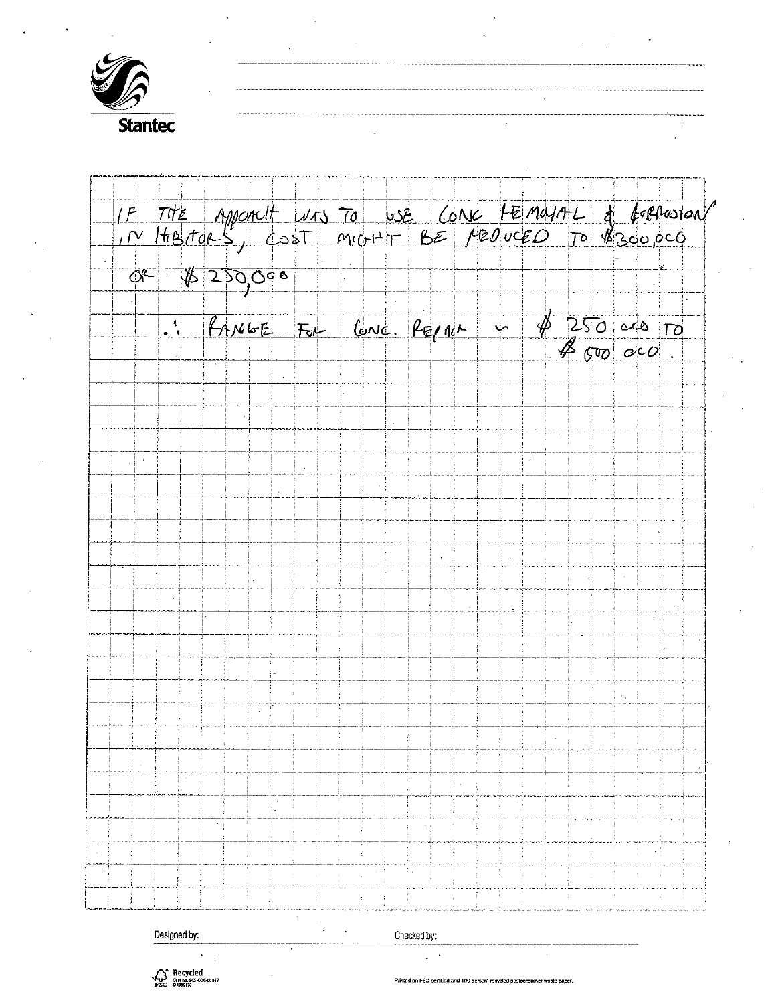

| IF THE Appoinct was TO USE CONE HEMMAL & GORANOM |                                                                                                      |  |  |  |  |  |  |  |  |  |
|--------------------------------------------------|------------------------------------------------------------------------------------------------------|--|--|--|--|--|--|--|--|--|
| $0 - 1200000$                                    |                                                                                                      |  |  |  |  |  |  |  |  |  |
|                                                  | $\frac{1}{\sqrt{250}}$ duble $\frac{1}{20}$ for $\frac{1}{20}$ for $\frac{1}{20}$ and $\frac{1}{20}$ |  |  |  |  |  |  |  |  |  |
|                                                  |                                                                                                      |  |  |  |  |  |  |  |  |  |
|                                                  |                                                                                                      |  |  |  |  |  |  |  |  |  |
|                                                  |                                                                                                      |  |  |  |  |  |  |  |  |  |
|                                                  |                                                                                                      |  |  |  |  |  |  |  |  |  |
|                                                  |                                                                                                      |  |  |  |  |  |  |  |  |  |
|                                                  |                                                                                                      |  |  |  |  |  |  |  |  |  |
|                                                  |                                                                                                      |  |  |  |  |  |  |  |  |  |
|                                                  |                                                                                                      |  |  |  |  |  |  |  |  |  |
|                                                  |                                                                                                      |  |  |  |  |  |  |  |  |  |
|                                                  |                                                                                                      |  |  |  |  |  |  |  |  |  |
|                                                  |                                                                                                      |  |  |  |  |  |  |  |  |  |
|                                                  |                                                                                                      |  |  |  |  |  |  |  |  |  |
|                                                  |                                                                                                      |  |  |  |  |  |  |  |  |  |
|                                                  |                                                                                                      |  |  |  |  |  |  |  |  |  |
|                                                  |                                                                                                      |  |  |  |  |  |  |  |  |  |

Designed by:

Checked by:

 $\alpha$ 

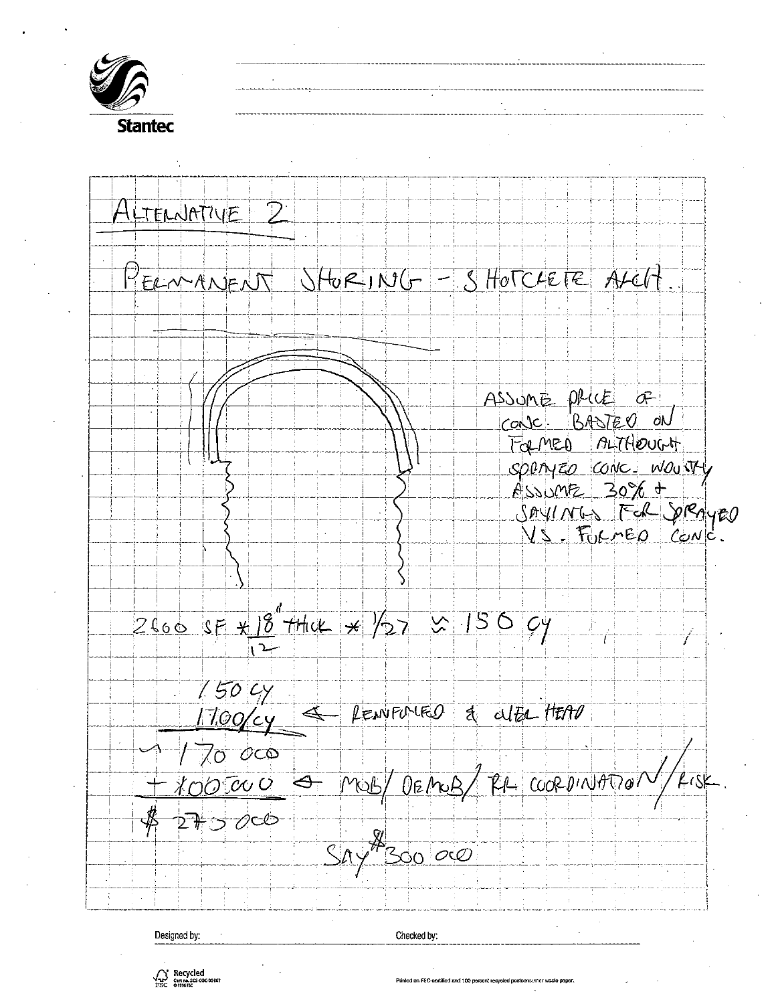

 $\bigwedge_{\substack{r,s \in \mathbb{C} \\ s,s \in \mathbb{C}}}$  Recycled

.<br>Printed on FSC-certified and 100 percent recycled postconsumer waste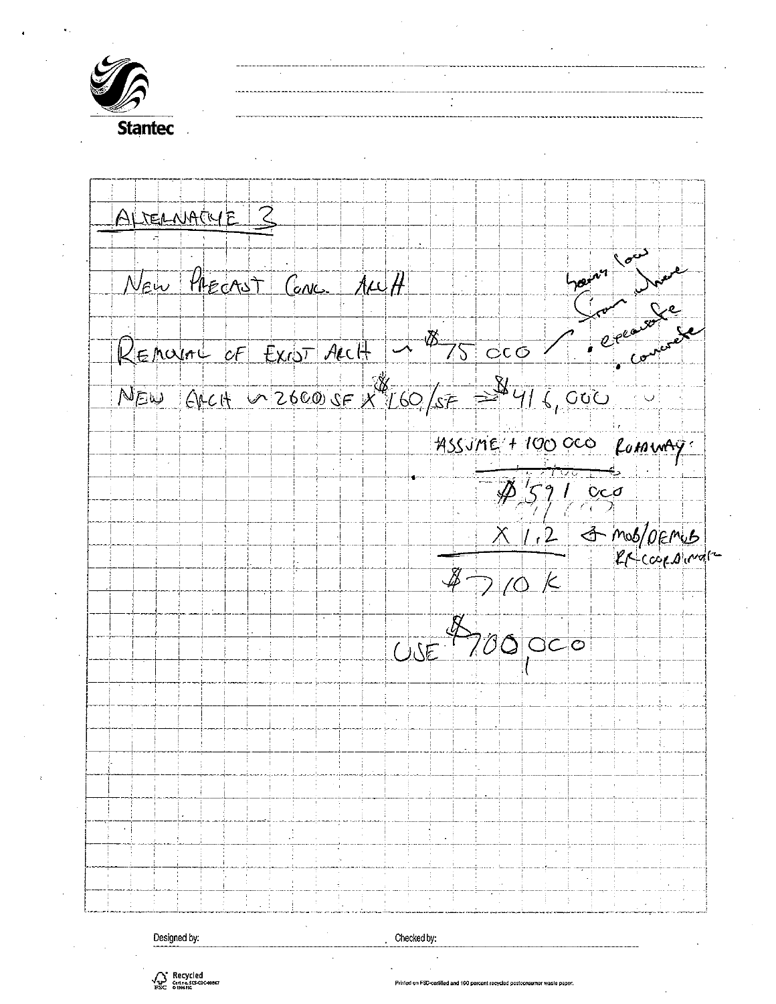

ALTERNACYE Z New PRECAST CONC. ALLA hain  $875000$ REMOVED OF EXIST ACCH  $N_{EW}$  (of cH  $\sim$  2600 SF  $X^{4}$  160 / SF =  $4416$ , 000 ASSUME + 100 OCO fumury.  $452$  $\frac{c}{c}$ 3 mos/ormus  $1.2$  $7/0K$  $\partial \mathcal{S}$  $OC$  $\circ$  $USE$ 

Designed by:

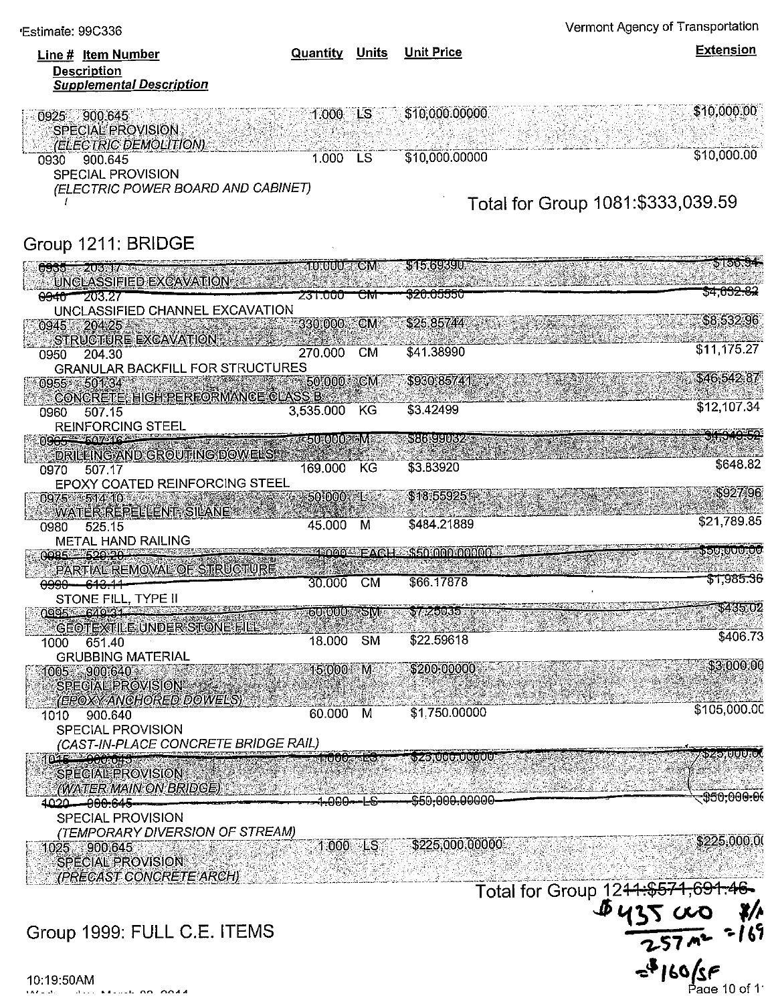\$648.82

\$225,000.00

| Line # Item Number<br><b>Description</b><br><b>Supplemental Description</b>                                                | Quantity             | Units     | <b>Unit Price</b>                 | <b>Extension</b>           |
|----------------------------------------------------------------------------------------------------------------------------|----------------------|-----------|-----------------------------------|----------------------------|
| 900.645<br>0925<br><b>SPECIAL PROVISION</b><br><i>(ELECTRIC DEMOLITION)</i><br>900.645<br>0930<br><b>SPECIAL PROVISION</b> | $1.000$ LS<br>1.000  | LS        | \$10,000.00000<br>\$10,000.00000  | \$10,000.00<br>\$10,000.00 |
| (ELECTRIC POWER BOARD AND CABINET)                                                                                         |                      |           | Total for Group 1081:\$333,039.59 |                            |
| Group 1211: BRIDGE                                                                                                         |                      |           |                                   |                            |
| 6665 - 7206 % 74 C mars                                                                                                    | <b>MONOGOUSTRONA</b> |           | 515.69390                         | อม วงว                     |
| UNGLASSIFIED EXCAVATION                                                                                                    | <del>231.000 -</del> | ╼₩        | <del>320.05550</del>              | <del>\$4.632.82</del>      |
| <del>0940 203.27</del><br>UNCLASSIFIED CHANNEL EXCAVATION                                                                  |                      |           |                                   |                            |
| 0945 20425<br><b>STRUCTURE EXCAVATION</b>                                                                                  | 330.000 CM           |           | $$25.85744$ and $$325.85744$      | \$8,532.96                 |
| 204.30<br>0950                                                                                                             | 270.000              | <b>CM</b> | \$41.38990                        | \$11,175.27                |
| <b>GRANULAR BACKFILL FOR STRUCTURES</b>                                                                                    |                      |           |                                   |                            |
| 0955 501.34<br>CONCRETE, HIGH PERFORMANCE CLASS B                                                                          | 50.000.5             | <b>CM</b> | \$930.85741                       | \$46,542.87                |
| 507.15<br>0960<br><b>REINFORCING STEEL</b>                                                                                 | 3,535.000            | KG        | \$3.42499                         | \$12,107.34                |
| <b>OCCEPTION CONTINUES</b>                                                                                                 | <b>SERIOROOGRAME</b> |           | 5. Y. Green de 12 A               |                            |
| DRILLING AND GROUTING DOWELS!!                                                                                             |                      |           |                                   |                            |

**EXAMPLE AND GROUTING DOWELS AND ACTALLY AND ACTALLY AND ACTION AT ACT AT ACT ACT** 169.000 0970 507.17 EPOXY COATED REINFORCING STEEL

\$927.96 50:000 1 \$18,55925 0975 514 10 **WATERREPELLENT, SILANE** \$21,789.85 \$484,21889 45.000 M 0980 525.15 **METAL HAND RAILING** 

\$3.83920

**DOURVOURU** <u>™≥∩∩∩™∃∆©!</u> **SECLOOOLOOOOO** <u>പ്രാപ്പം ജെപ്പ് കുറുക്കു</u> PARTIAL REMOVAL OF STRUCTURE \$1,985.36 30.000 **CM** \$66,17878 <del>0990 - 613.11</del> STONE FILL, TYPE II

\$435.02 \$7.25035 0995 - 649.31. <u>SOROUOR RSIVI</u> **GEOTEXTILE UNDER STONE FIL** \$406.73  $\overline{\text{SM}}$ \$22.59618 18.000 651.40 1000 **GRUBBING MATERIAL** \$3,000.00 15:000 M \$200.00000 1005 900.640 SPECIAL PROVISION (EPOXY ANGHORED DOWELS)

\$105,000.00 \$1,750.00000 60.000 M 1010 900.640 SPECIAL PROVISION (CAST-IN-PLACE CONCRETE BRIDGE RAIL)

<u> ჯzo,000.0.</u> <u>x to dangerandian and </u> SPECIAL PROVISION (WATER MAIN ON BRIDGE) <del>\$50,000.00</del> <del>\$50,000.0000</del>0 4020-000.645 **⊦÷**⊖⊖⊖—∟€

SPECIAL PROVISION (TEMPORARY DIVERSION OF STREAM)

\$225,000.00000 1025 900.645 SPECIAL PROVISION

(PRECAST CONCRETE ARCH)

### Group 1999: FULL C.E. ITEMS

Total for Group 1244+\$574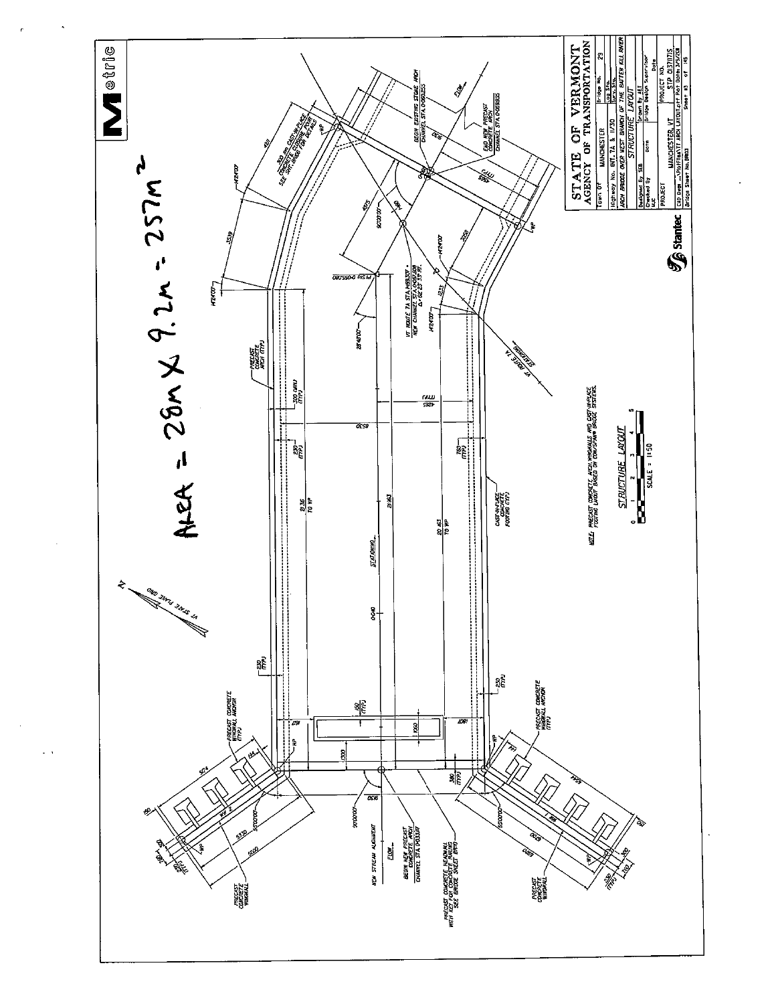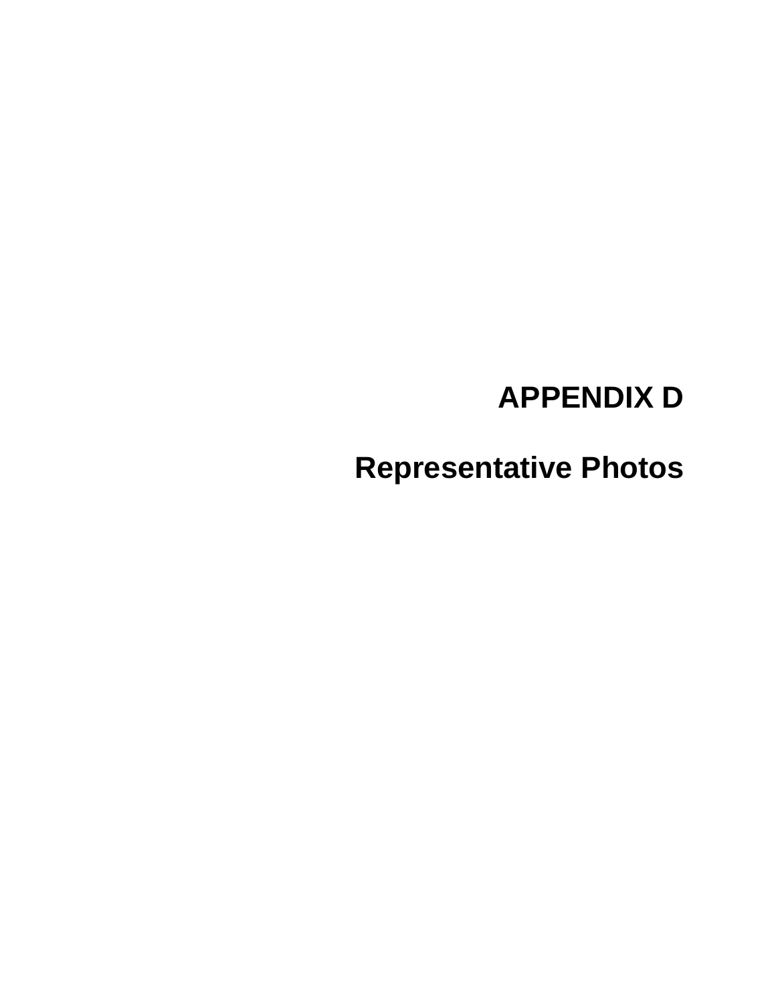# **APPENDIX D**

**Representative Photos**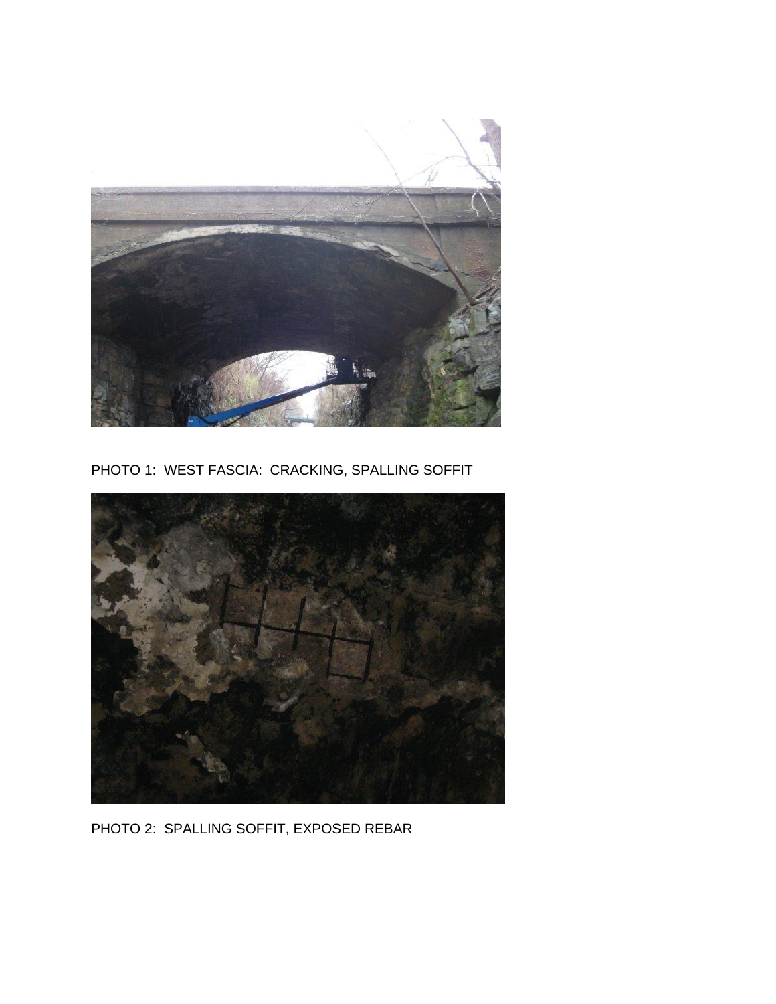

PHOTO 1: WEST FASCIA: CRACKING, SPALLING SOFFIT



PHOTO 2: SPALLING SOFFIT, EXPOSED REBAR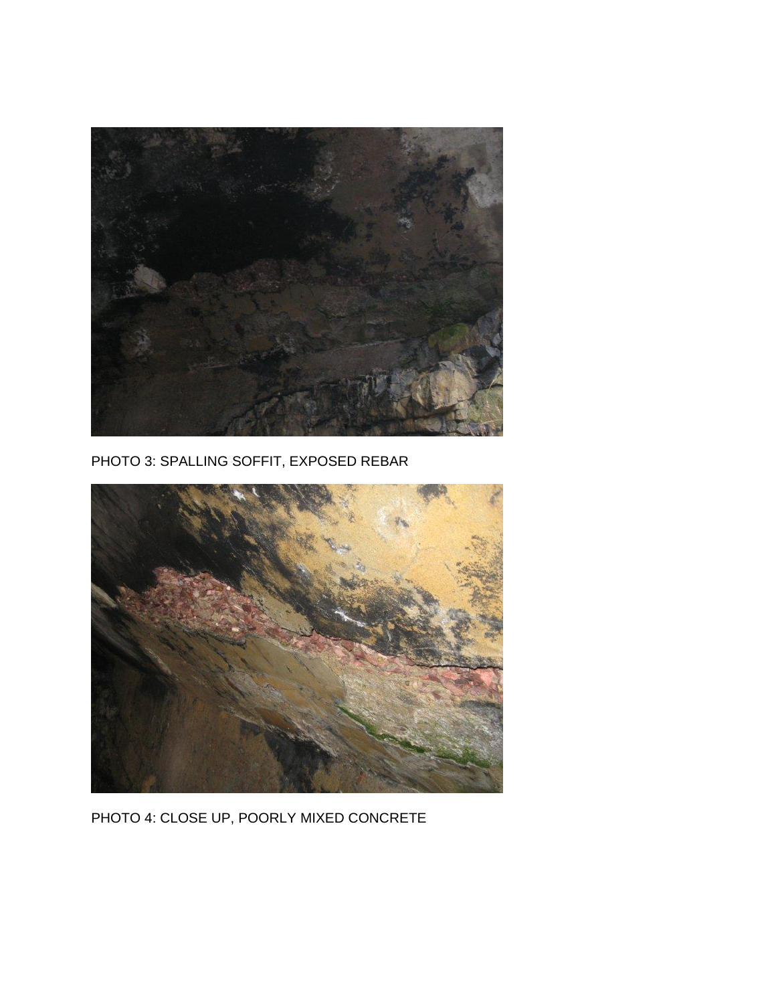

PHOTO 3: SPALLING SOFFIT, EXPOSED REBAR



PHOTO 4: CLOSE UP, POORLY MIXED CONCRETE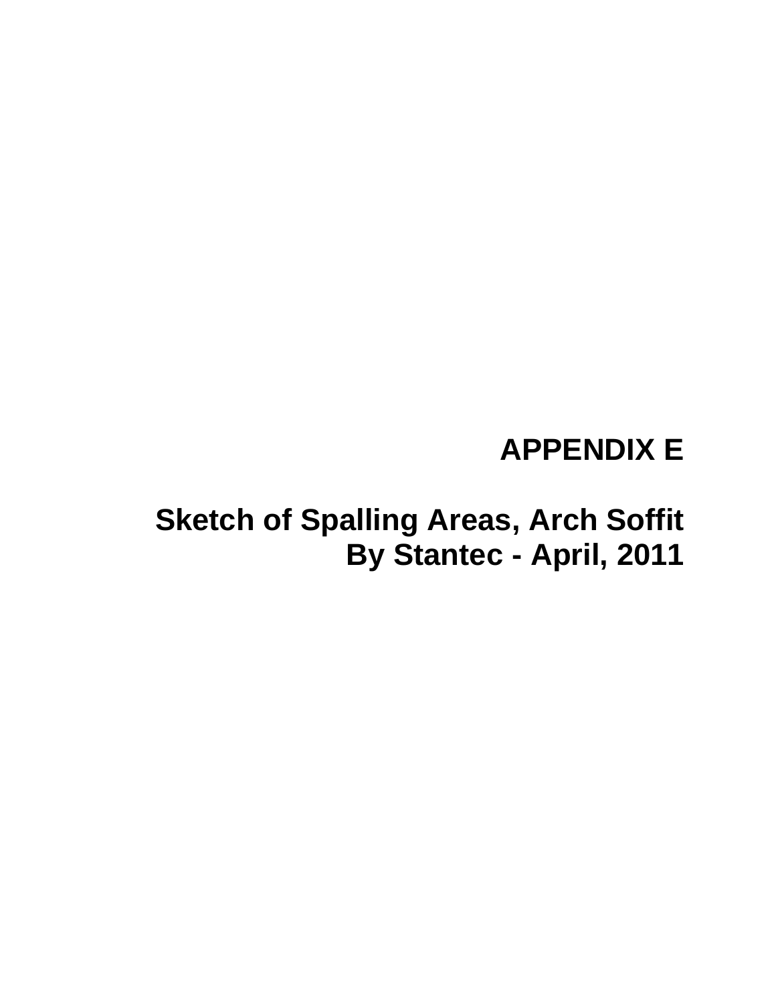### **APPENDIX E**

### **Sketch of Spalling Areas, Arch Soffit By Stantec - April, 2011**